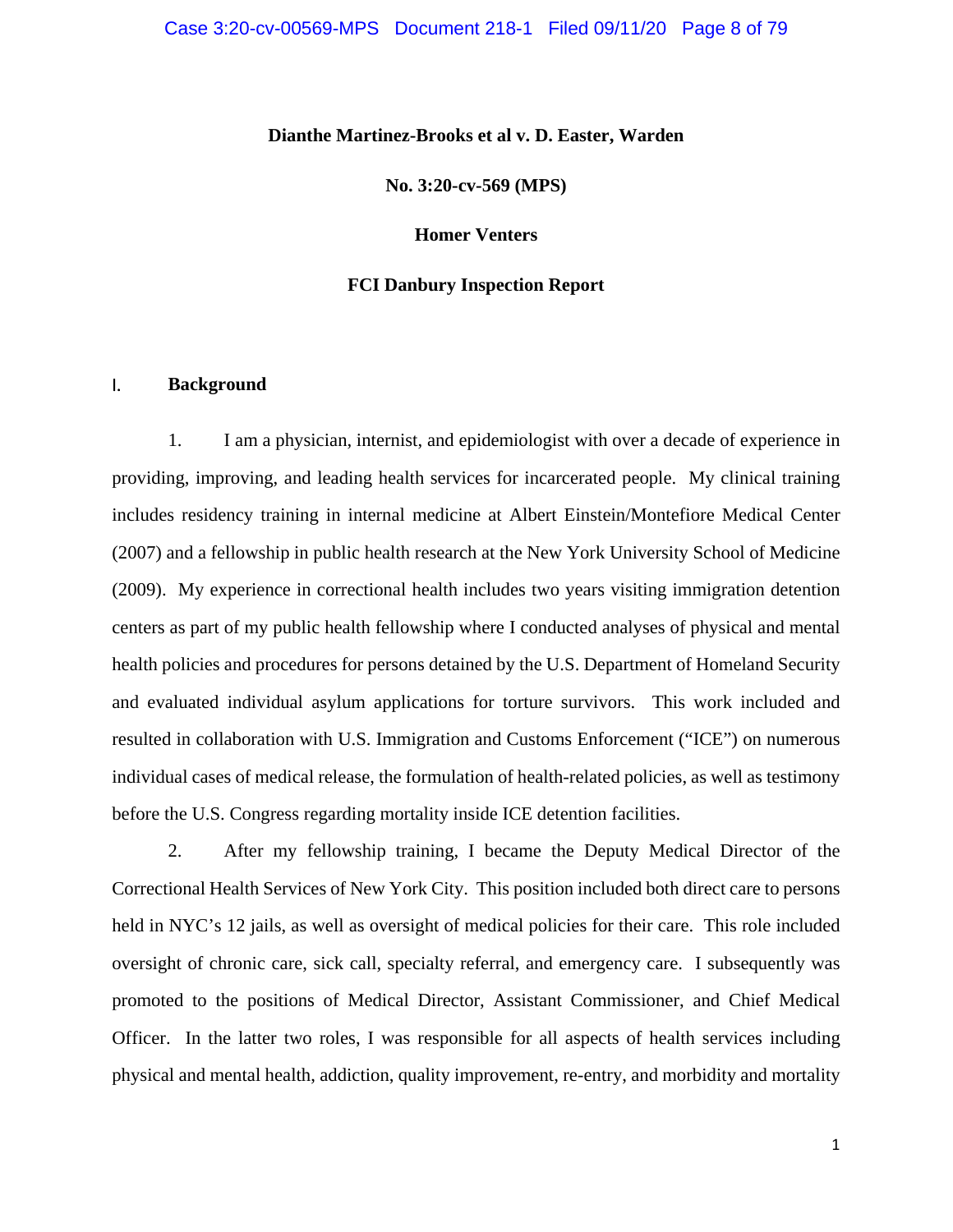## **Dianthe Martinez-Brooks et al v. D. Easter, Warden**

**No. 3:20-cv-569 (MPS)** 

**Homer Venters**

## **FCI Danbury Inspection Report**

## I. **Background**

1. I am a physician, internist, and epidemiologist with over a decade of experience in providing, improving, and leading health services for incarcerated people. My clinical training includes residency training in internal medicine at Albert Einstein/Montefiore Medical Center (2007) and a fellowship in public health research at the New York University School of Medicine (2009). My experience in correctional health includes two years visiting immigration detention centers as part of my public health fellowship where I conducted analyses of physical and mental health policies and procedures for persons detained by the U.S. Department of Homeland Security and evaluated individual asylum applications for torture survivors. This work included and resulted in collaboration with U.S. Immigration and Customs Enforcement ("ICE") on numerous individual cases of medical release, the formulation of health-related policies, as well as testimony before the U.S. Congress regarding mortality inside ICE detention facilities.

2. After my fellowship training, I became the Deputy Medical Director of the Correctional Health Services of New York City. This position included both direct care to persons held in NYC's 12 jails, as well as oversight of medical policies for their care. This role included oversight of chronic care, sick call, specialty referral, and emergency care. I subsequently was promoted to the positions of Medical Director, Assistant Commissioner, and Chief Medical Officer. In the latter two roles, I was responsible for all aspects of health services including physical and mental health, addiction, quality improvement, re-entry, and morbidity and mortality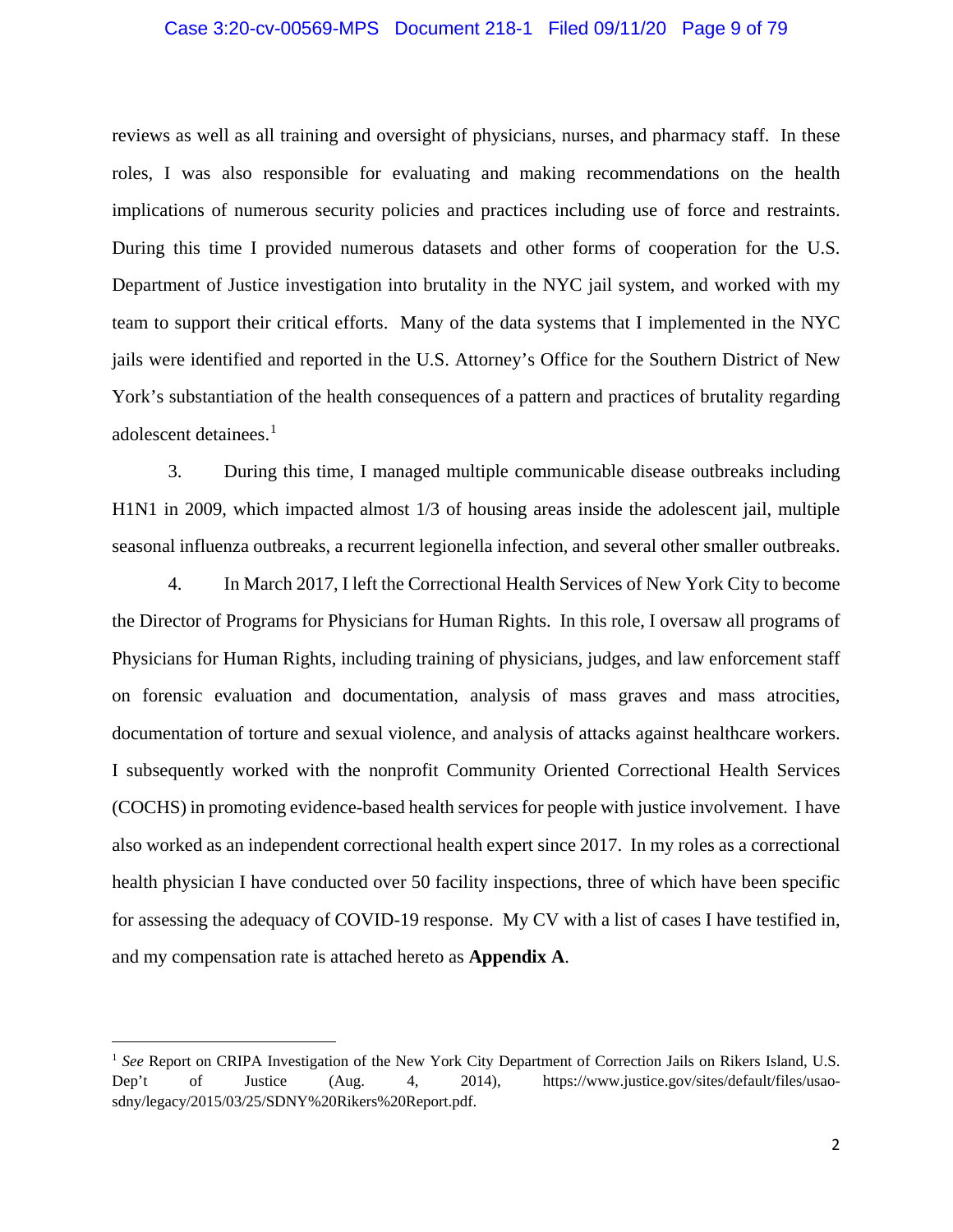## Case 3:20-cv-00569-MPS Document 218-1 Filed 09/11/20 Page 9 of 79

reviews as well as all training and oversight of physicians, nurses, and pharmacy staff. In these roles, I was also responsible for evaluating and making recommendations on the health implications of numerous security policies and practices including use of force and restraints. During this time I provided numerous datasets and other forms of cooperation for the U.S. Department of Justice investigation into brutality in the NYC jail system, and worked with my team to support their critical efforts. Many of the data systems that I implemented in the NYC jails were identified and reported in the U.S. Attorney's Office for the Southern District of New York's substantiation of the health consequences of a pattern and practices of brutality regarding adolescent detainees.<sup>1</sup>

3. During this time, I managed multiple communicable disease outbreaks including H1N1 in 2009, which impacted almost 1/3 of housing areas inside the adolescent jail, multiple seasonal influenza outbreaks, a recurrent legionella infection, and several other smaller outbreaks.

4. In March 2017, I left the Correctional Health Services of New York City to become the Director of Programs for Physicians for Human Rights. In this role, I oversaw all programs of Physicians for Human Rights, including training of physicians, judges, and law enforcement staff on forensic evaluation and documentation, analysis of mass graves and mass atrocities, documentation of torture and sexual violence, and analysis of attacks against healthcare workers. I subsequently worked with the nonprofit Community Oriented Correctional Health Services (COCHS) in promoting evidence-based health services for people with justice involvement. I have also worked as an independent correctional health expert since 2017. In my roles as a correctional health physician I have conducted over 50 facility inspections, three of which have been specific for assessing the adequacy of COVID-19 response. My CV with a list of cases I have testified in, and my compensation rate is attached hereto as **Appendix A**.

 $\overline{a}$ 

<sup>&</sup>lt;sup>1</sup> See Report on CRIPA Investigation of the New York City Department of Correction Jails on Rikers Island, U.S. Dep't of Justice (Aug. 4, 2014), https://www.justice.gov/sites/default/files/usaosdny/legacy/2015/03/25/SDNY%20Rikers%20Report.pdf.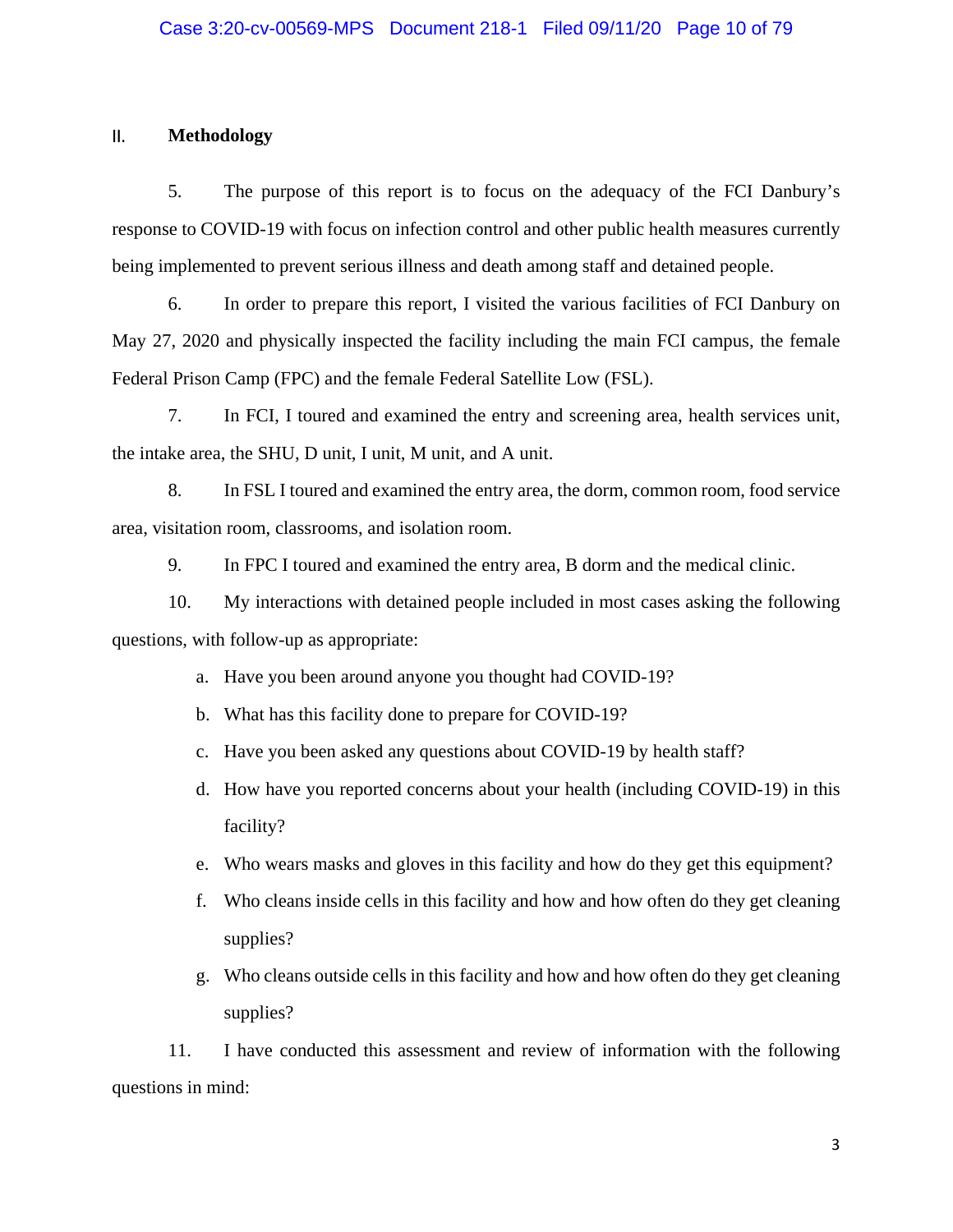## II. **Methodology**

5. The purpose of this report is to focus on the adequacy of the FCI Danbury's response to COVID-19 with focus on infection control and other public health measures currently being implemented to prevent serious illness and death among staff and detained people.

6. In order to prepare this report, I visited the various facilities of FCI Danbury on May 27, 2020 and physically inspected the facility including the main FCI campus, the female Federal Prison Camp (FPC) and the female Federal Satellite Low (FSL).

7. In FCI, I toured and examined the entry and screening area, health services unit, the intake area, the SHU, D unit, I unit, M unit, and A unit.

8. In FSL I toured and examined the entry area, the dorm, common room, food service area, visitation room, classrooms, and isolation room.

9. In FPC I toured and examined the entry area, B dorm and the medical clinic.

10. My interactions with detained people included in most cases asking the following questions, with follow-up as appropriate:

- a. Have you been around anyone you thought had COVID-19?
- b. What has this facility done to prepare for COVID-19?
- c. Have you been asked any questions about COVID-19 by health staff?
- d. How have you reported concerns about your health (including COVID-19) in this facility?
- e. Who wears masks and gloves in this facility and how do they get this equipment?
- f. Who cleans inside cells in this facility and how and how often do they get cleaning supplies?
- g. Who cleans outside cells in this facility and how and how often do they get cleaning supplies?

11. I have conducted this assessment and review of information with the following questions in mind: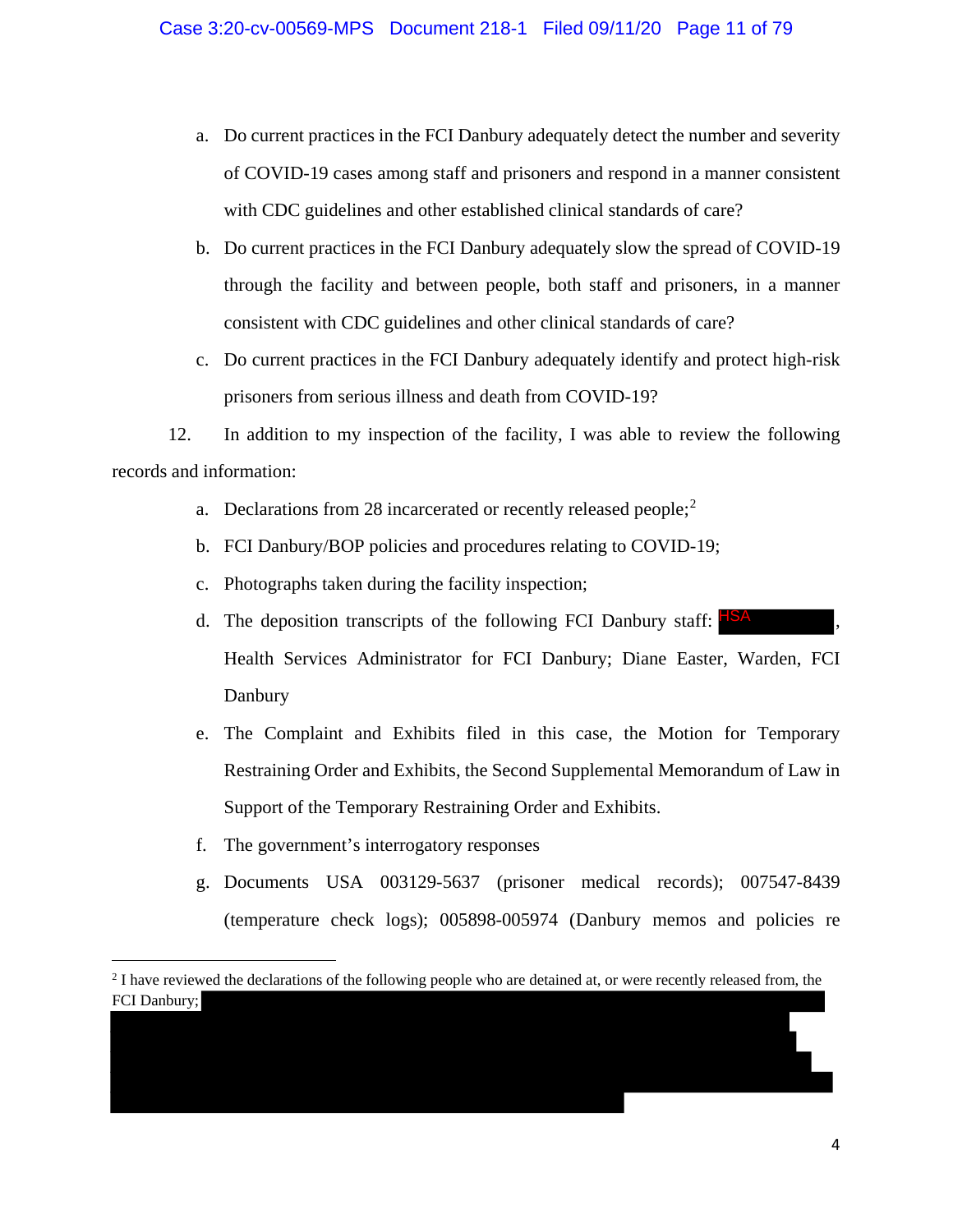- a. Do current practices in the FCI Danbury adequately detect the number and severity of COVID-19 cases among staff and prisoners and respond in a manner consistent with CDC guidelines and other established clinical standards of care?
- b. Do current practices in the FCI Danbury adequately slow the spread of COVID-19 through the facility and between people, both staff and prisoners, in a manner consistent with CDC guidelines and other clinical standards of care?
- c. Do current practices in the FCI Danbury adequately identify and protect high-risk prisoners from serious illness and death from COVID-19?

12. In addition to my inspection of the facility, I was able to review the following records and information:

- a. Declarations from 28 incarcerated or recently released people;  $2^2$
- b. FCI Danbury/BOP policies and procedures relating to COVID-19;
- c. Photographs taken during the facility inspection;
- d. The deposition transcripts of the following FCI Danbury staff: HSA  $\,$ , Health Services Administrator for FCI Danbury; Diane Easter, Warden, FCI Danbury
- e. The Complaint and Exhibits filed in this case, the Motion for Temporary Restraining Order and Exhibits, the Second Supplemental Memorandum of Law in Support of the Temporary Restraining Order and Exhibits.
- f. The government's interrogatory responses

l

g. Documents USA 003129-5637 (prisoner medical records); 007547-8439 (temperature check logs); 005898-005974 (Danbury memos and policies re

<sup>&</sup>lt;sup>2</sup> I have reviewed the declarations of the following people who are detained at, or were recently released from, the FCI Danbury;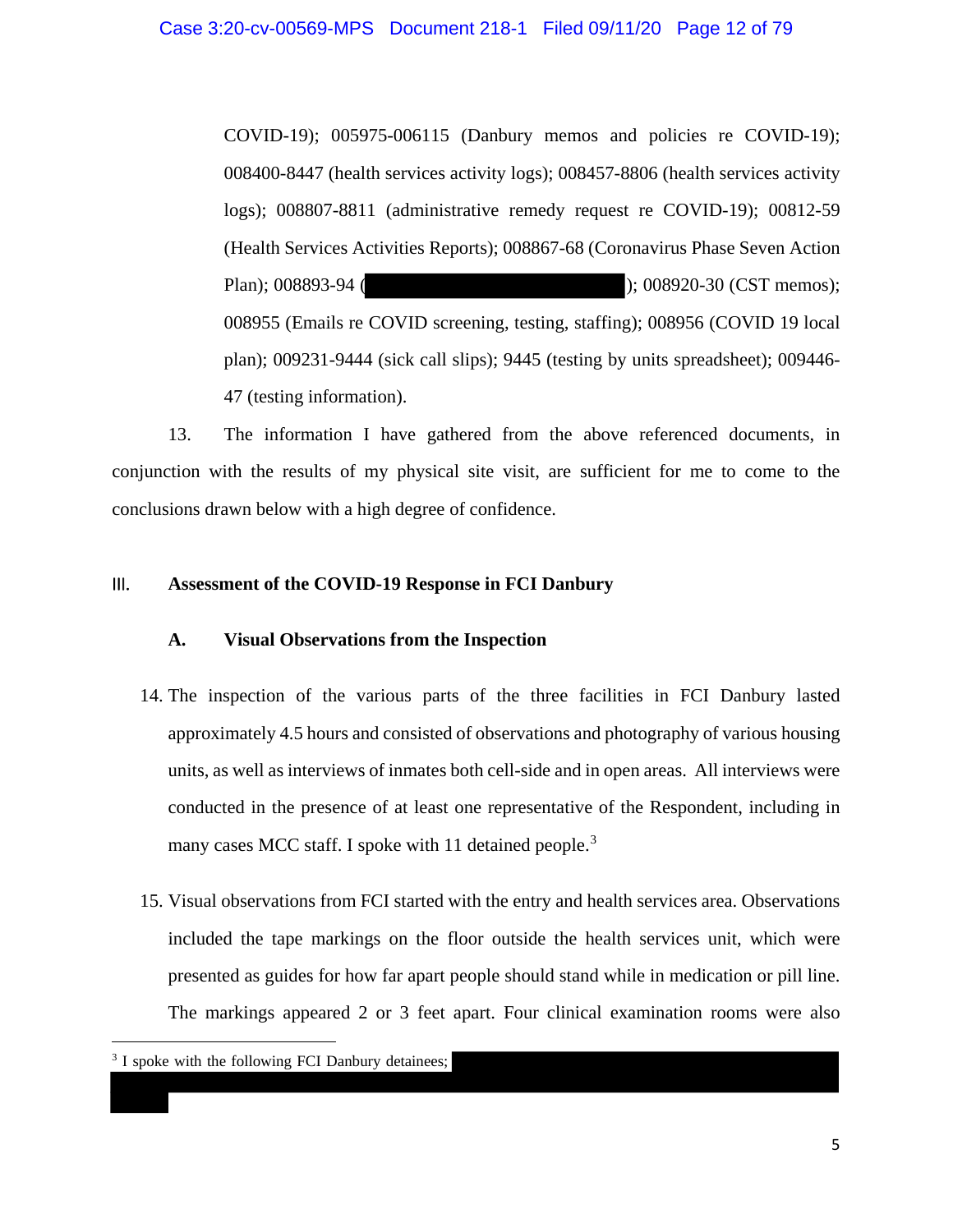COVID-19); 005975-006115 (Danbury memos and policies re COVID-19); 008400-8447 (health services activity logs); 008457-8806 (health services activity logs); 008807-8811 (administrative remedy request re COVID-19); 00812-59 (Health Services Activities Reports); 008867-68 (Coronavirus Phase Seven Action Plan); 008893-94 ( ); 008920-30 (CST memos); 008955 (Emails re COVID screening, testing, staffing); 008956 (COVID 19 local plan); 009231-9444 (sick call slips); 9445 (testing by units spreadsheet); 009446- 47 (testing information).

13. The information I have gathered from the above referenced documents, in conjunction with the results of my physical site visit, are sufficient for me to come to the conclusions drawn below with a high degree of confidence.

## III. **Assessment of the COVID-19 Response in FCI Danbury**

# **A. Visual Observations from the Inspection**

- 14. The inspection of the various parts of the three facilities in FCI Danbury lasted approximately 4.5 hours and consisted of observations and photography of various housing units, as well as interviews of inmates both cell-side and in open areas. All interviews were conducted in the presence of at least one representative of the Respondent, including in many cases MCC staff. I spoke with 11 detained people.<sup>3</sup>
- 15. Visual observations from FCI started with the entry and health services area. Observations included the tape markings on the floor outside the health services unit, which were presented as guides for how far apart people should stand while in medication or pill line. The markings appeared 2 or 3 feet apart. Four clinical examination rooms were also

<sup>3</sup> I spoke with the following FCI Danbury detainees;

 $\overline{a}$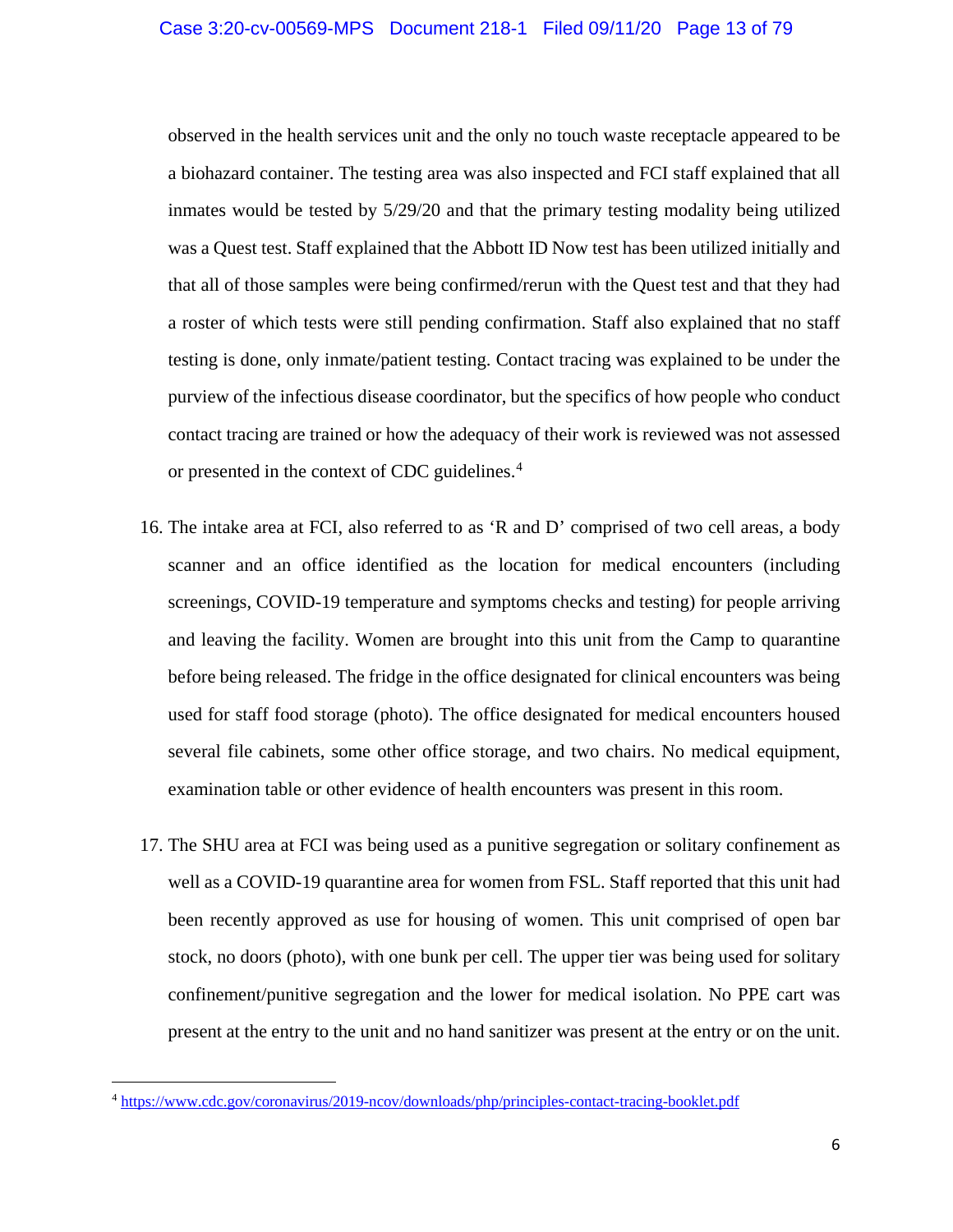observed in the health services unit and the only no touch waste receptacle appeared to be a biohazard container. The testing area was also inspected and FCI staff explained that all inmates would be tested by 5/29/20 and that the primary testing modality being utilized was a Quest test. Staff explained that the Abbott ID Now test has been utilized initially and that all of those samples were being confirmed/rerun with the Quest test and that they had a roster of which tests were still pending confirmation. Staff also explained that no staff testing is done, only inmate/patient testing. Contact tracing was explained to be under the purview of the infectious disease coordinator, but the specifics of how people who conduct contact tracing are trained or how the adequacy of their work is reviewed was not assessed or presented in the context of CDC guidelines.<sup>4</sup>

- 16. The intake area at FCI, also referred to as 'R and D' comprised of two cell areas, a body scanner and an office identified as the location for medical encounters (including screenings, COVID-19 temperature and symptoms checks and testing) for people arriving and leaving the facility. Women are brought into this unit from the Camp to quarantine before being released. The fridge in the office designated for clinical encounters was being used for staff food storage (photo). The office designated for medical encounters housed several file cabinets, some other office storage, and two chairs. No medical equipment, examination table or other evidence of health encounters was present in this room.
- 17. The SHU area at FCI was being used as a punitive segregation or solitary confinement as well as a COVID-19 quarantine area for women from FSL. Staff reported that this unit had been recently approved as use for housing of women. This unit comprised of open bar stock, no doors (photo), with one bunk per cell. The upper tier was being used for solitary confinement/punitive segregation and the lower for medical isolation. No PPE cart was present at the entry to the unit and no hand sanitizer was present at the entry or on the unit.

l

<sup>4</sup> https://www.cdc.gov/coronavirus/2019-ncov/downloads/php/principles-contact-tracing-booklet.pdf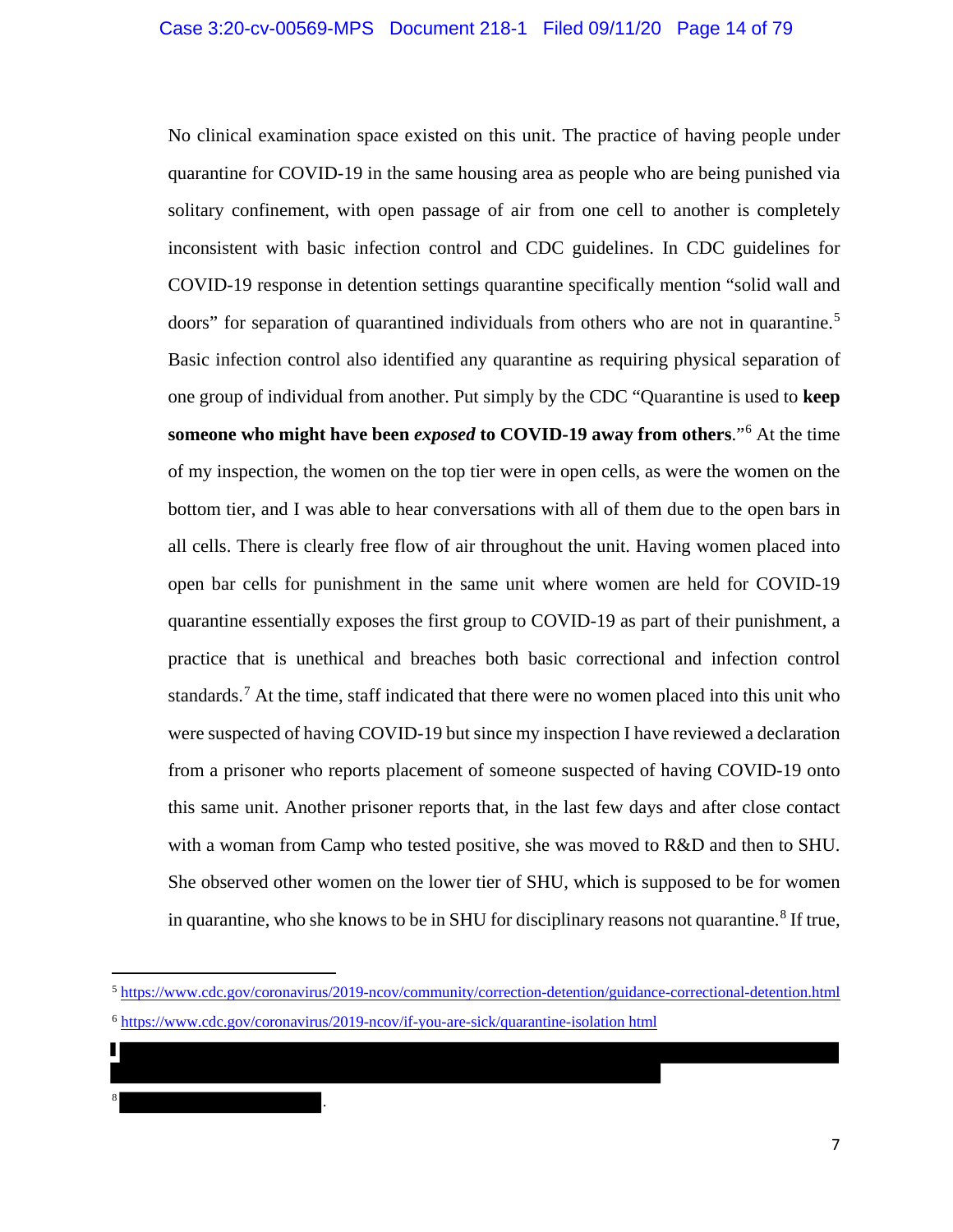No clinical examination space existed on this unit. The practice of having people under quarantine for COVID-19 in the same housing area as people who are being punished via solitary confinement, with open passage of air from one cell to another is completely inconsistent with basic infection control and CDC guidelines. In CDC guidelines for COVID-19 response in detention settings quarantine specifically mention "solid wall and doors" for separation of quarantined individuals from others who are not in quarantine.<sup>5</sup> Basic infection control also identified any quarantine as requiring physical separation of one group of individual from another. Put simply by the CDC "Quarantine is used to **keep someone who might have been** *exposed* **to COVID-19 away from others**."<sup>6</sup> At the time of my inspection, the women on the top tier were in open cells, as were the women on the bottom tier, and I was able to hear conversations with all of them due to the open bars in all cells. There is clearly free flow of air throughout the unit. Having women placed into open bar cells for punishment in the same unit where women are held for COVID-19 quarantine essentially exposes the first group to COVID-19 as part of their punishment, a practice that is unethical and breaches both basic correctional and infection control standards.<sup>7</sup> At the time, staff indicated that there were no women placed into this unit who were suspected of having COVID-19 but since my inspection I have reviewed a declaration from a prisoner who reports placement of someone suspected of having COVID-19 onto this same unit. Another prisoner reports that, in the last few days and after close contact with a woman from Camp who tested positive, she was moved to R&D and then to SHU. She observed other women on the lower tier of SHU, which is supposed to be for women in quarantine, who she knows to be in SHU for disciplinary reasons not quarantine.<sup>8</sup> If true,

 $\overline{\phantom{a}}$ 

<sup>8</sup> .

<sup>5</sup> https://www.cdc.gov/coronavirus/2019-ncov/community/correction-detention/guidance-correctional-detention.html

<sup>6</sup> https://www.cdc.gov/coronavirus/2019-ncov/if-you-are-sick/quarantine-isolation html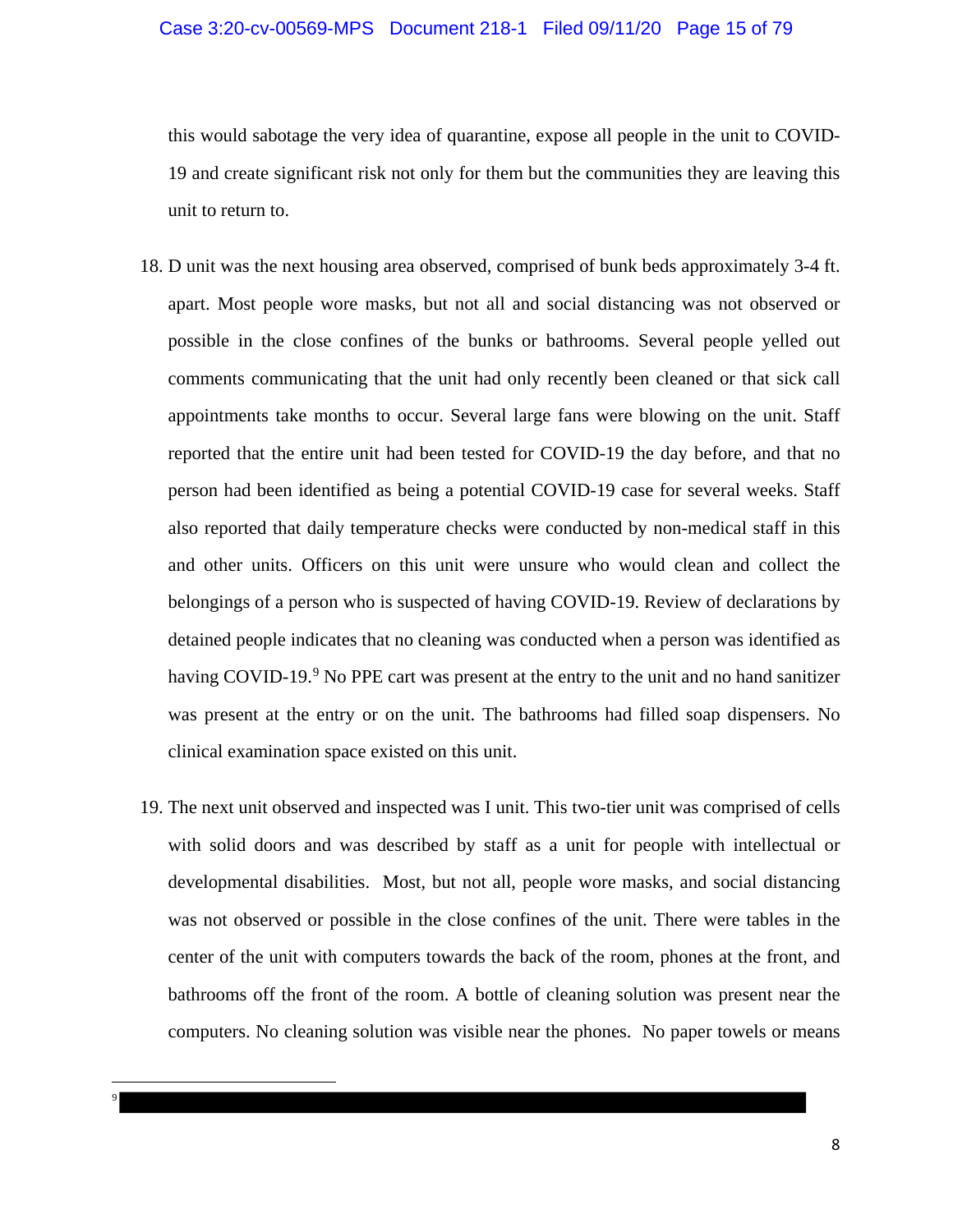## Case 3:20-cv-00569-MPS Document 218-1 Filed 09/11/20 Page 15 of 79

this would sabotage the very idea of quarantine, expose all people in the unit to COVID-19 and create significant risk not only for them but the communities they are leaving this unit to return to.

- 18. D unit was the next housing area observed, comprised of bunk beds approximately 3-4 ft. apart. Most people wore masks, but not all and social distancing was not observed or possible in the close confines of the bunks or bathrooms. Several people yelled out comments communicating that the unit had only recently been cleaned or that sick call appointments take months to occur. Several large fans were blowing on the unit. Staff reported that the entire unit had been tested for COVID-19 the day before, and that no person had been identified as being a potential COVID-19 case for several weeks. Staff also reported that daily temperature checks were conducted by non-medical staff in this and other units. Officers on this unit were unsure who would clean and collect the belongings of a person who is suspected of having COVID-19. Review of declarations by detained people indicates that no cleaning was conducted when a person was identified as having COVID-19.<sup>9</sup> No PPE cart was present at the entry to the unit and no hand sanitizer was present at the entry or on the unit. The bathrooms had filled soap dispensers. No clinical examination space existed on this unit.
- 19. The next unit observed and inspected was I unit. This two-tier unit was comprised of cells with solid doors and was described by staff as a unit for people with intellectual or developmental disabilities. Most, but not all, people wore masks, and social distancing was not observed or possible in the close confines of the unit. There were tables in the center of the unit with computers towards the back of the room, phones at the front, and bathrooms off the front of the room. A bottle of cleaning solution was present near the computers. No cleaning solution was visible near the phones. No paper towels or means

l 9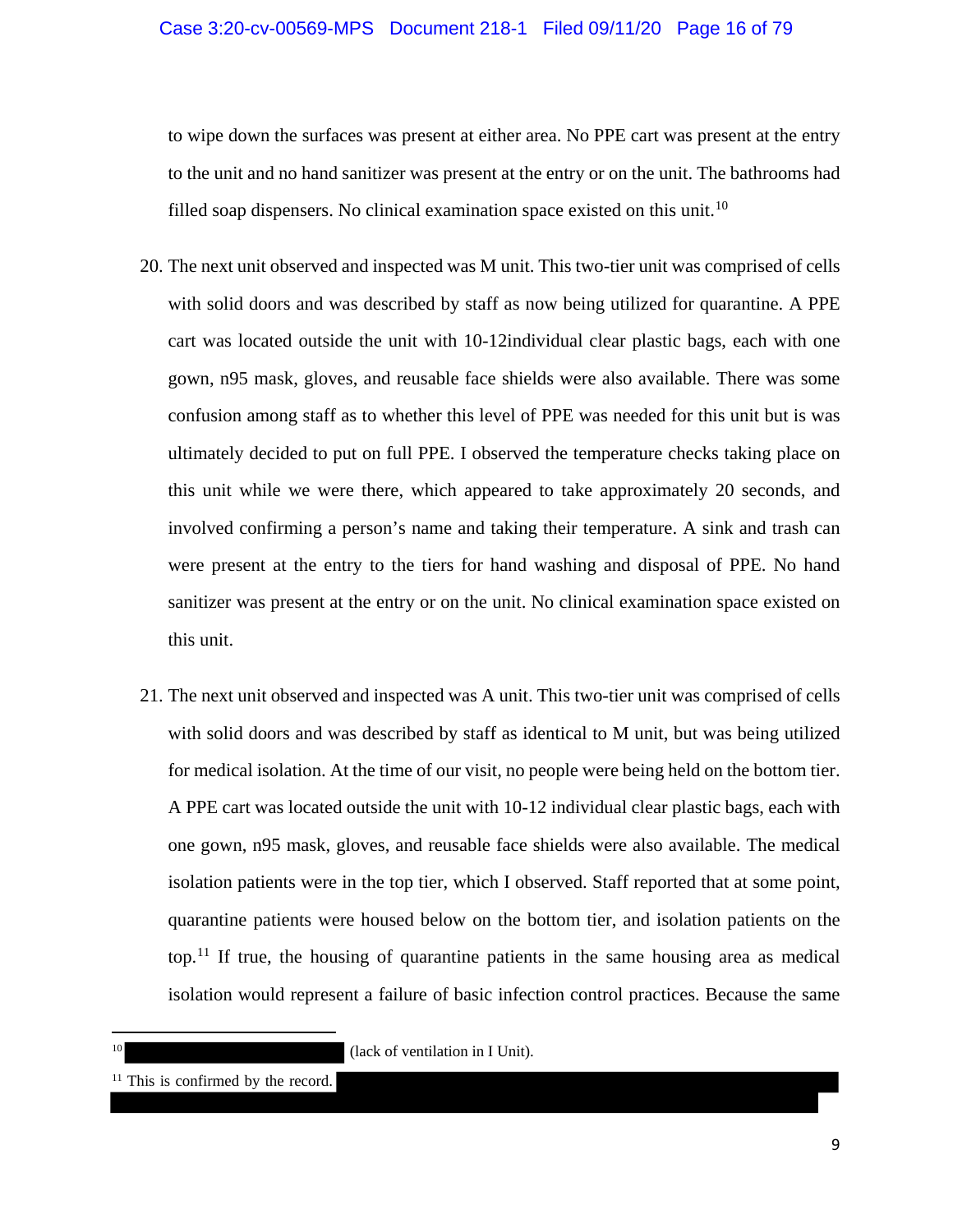to wipe down the surfaces was present at either area. No PPE cart was present at the entry to the unit and no hand sanitizer was present at the entry or on the unit. The bathrooms had filled soap dispensers. No clinical examination space existed on this unit.<sup>10</sup>

- 20. The next unit observed and inspected was M unit. This two-tier unit was comprised of cells with solid doors and was described by staff as now being utilized for quarantine. A PPE cart was located outside the unit with 10-12individual clear plastic bags, each with one gown, n95 mask, gloves, and reusable face shields were also available. There was some confusion among staff as to whether this level of PPE was needed for this unit but is was ultimately decided to put on full PPE. I observed the temperature checks taking place on this unit while we were there, which appeared to take approximately 20 seconds, and involved confirming a person's name and taking their temperature. A sink and trash can were present at the entry to the tiers for hand washing and disposal of PPE. No hand sanitizer was present at the entry or on the unit. No clinical examination space existed on this unit.
- 21. The next unit observed and inspected was A unit. This two-tier unit was comprised of cells with solid doors and was described by staff as identical to M unit, but was being utilized for medical isolation. At the time of our visit, no people were being held on the bottom tier. A PPE cart was located outside the unit with 10-12 individual clear plastic bags, each with one gown, n95 mask, gloves, and reusable face shields were also available. The medical isolation patients were in the top tier, which I observed. Staff reported that at some point, quarantine patients were housed below on the bottom tier, and isolation patients on the top.<sup>11</sup> If true, the housing of quarantine patients in the same housing area as medical isolation would represent a failure of basic infection control practices. Because the same

(lack of ventilation in I Unit).

 $\overline{a}$ 

<sup>&</sup>lt;sup>11</sup> This is confirmed by the record.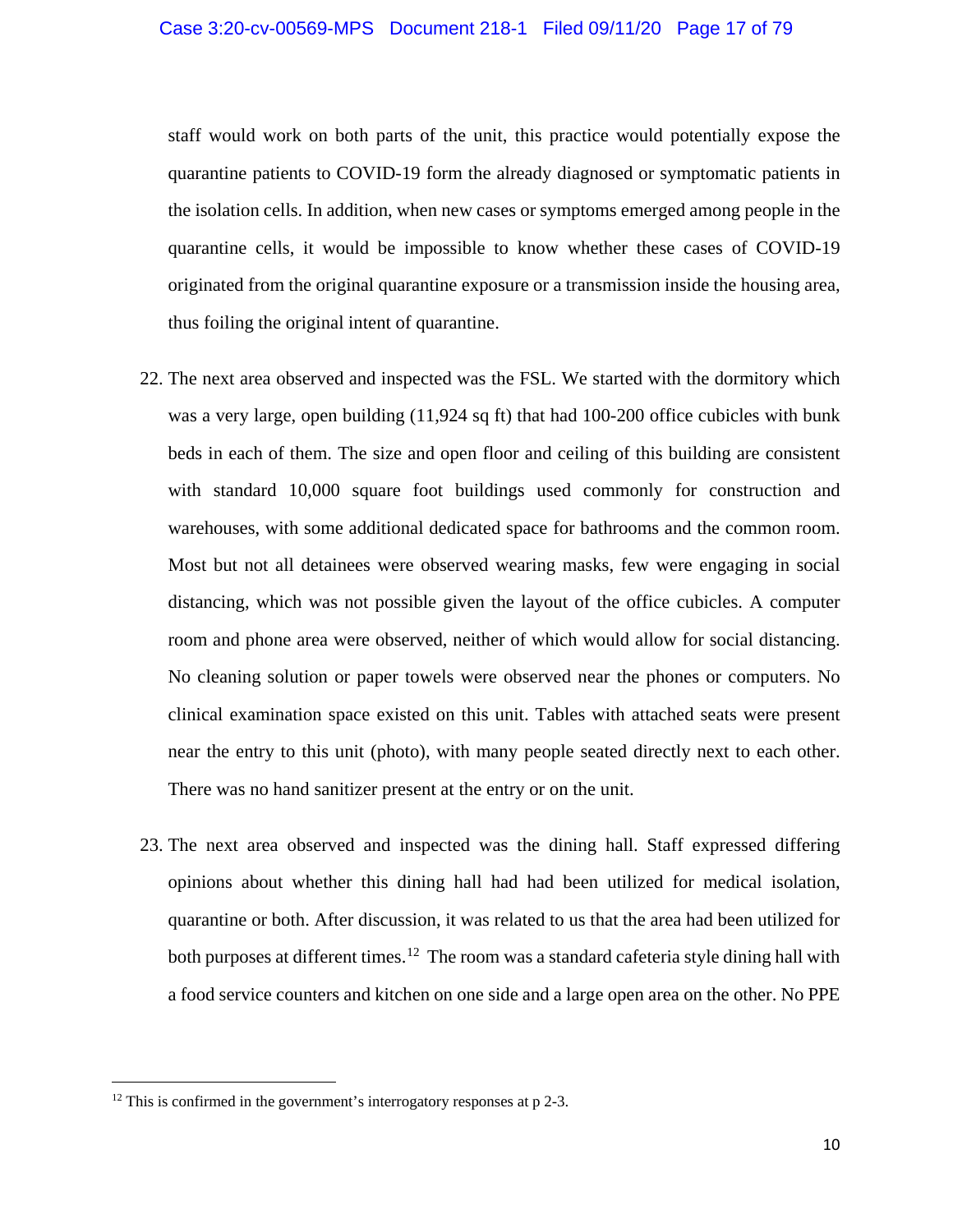staff would work on both parts of the unit, this practice would potentially expose the quarantine patients to COVID-19 form the already diagnosed or symptomatic patients in the isolation cells. In addition, when new cases or symptoms emerged among people in the quarantine cells, it would be impossible to know whether these cases of COVID-19 originated from the original quarantine exposure or a transmission inside the housing area, thus foiling the original intent of quarantine.

- 22. The next area observed and inspected was the FSL. We started with the dormitory which was a very large, open building (11,924 sq ft) that had 100-200 office cubicles with bunk beds in each of them. The size and open floor and ceiling of this building are consistent with standard 10,000 square foot buildings used commonly for construction and warehouses, with some additional dedicated space for bathrooms and the common room. Most but not all detainees were observed wearing masks, few were engaging in social distancing, which was not possible given the layout of the office cubicles. A computer room and phone area were observed, neither of which would allow for social distancing. No cleaning solution or paper towels were observed near the phones or computers. No clinical examination space existed on this unit. Tables with attached seats were present near the entry to this unit (photo), with many people seated directly next to each other. There was no hand sanitizer present at the entry or on the unit.
- 23. The next area observed and inspected was the dining hall. Staff expressed differing opinions about whether this dining hall had had been utilized for medical isolation, quarantine or both. After discussion, it was related to us that the area had been utilized for both purposes at different times.<sup>12</sup> The room was a standard cafeteria style dining hall with a food service counters and kitchen on one side and a large open area on the other. No PPE

l

<sup>&</sup>lt;sup>12</sup> This is confirmed in the government's interrogatory responses at p 2-3.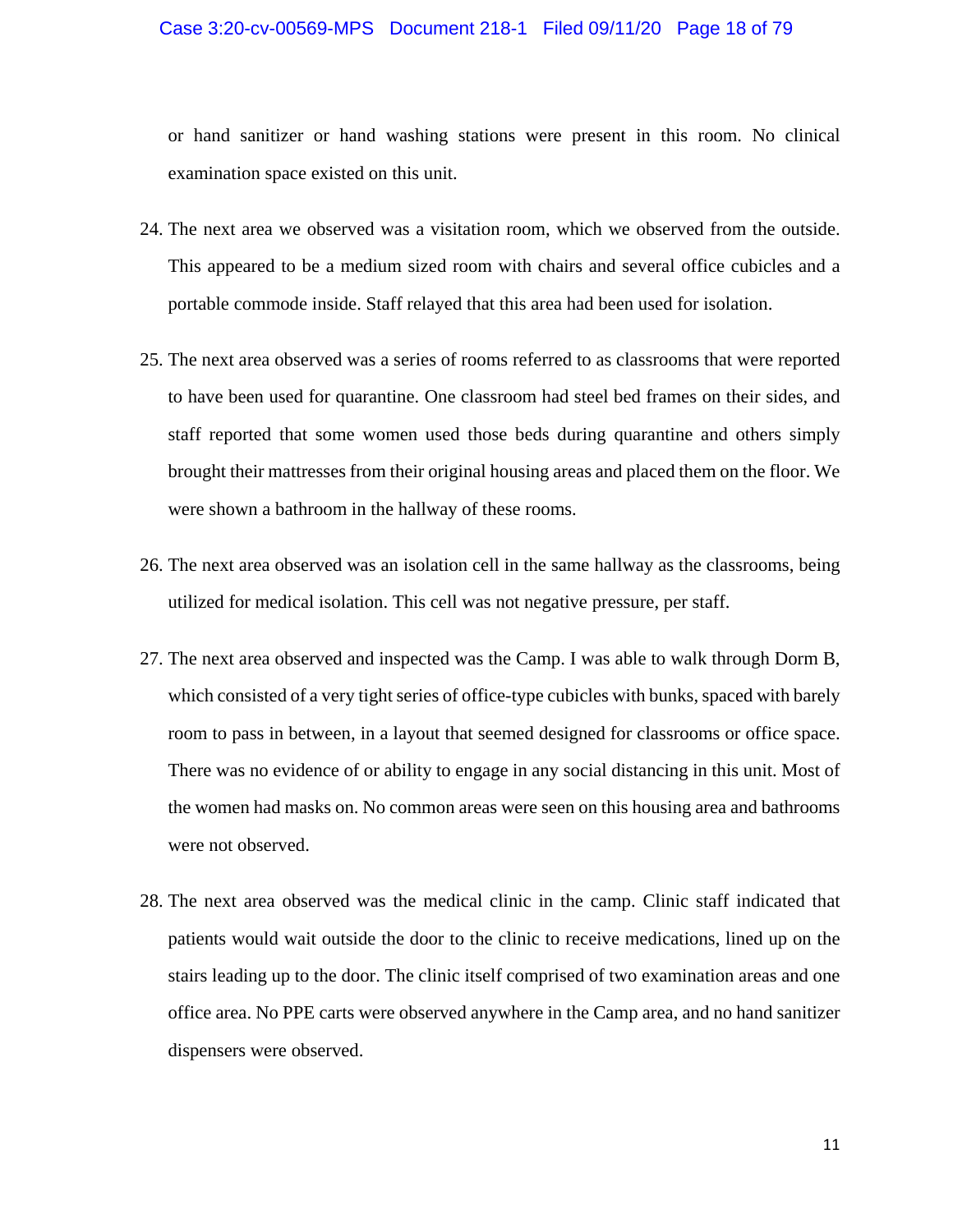## Case 3:20-cv-00569-MPS Document 218-1 Filed 09/11/20 Page 18 of 79

or hand sanitizer or hand washing stations were present in this room. No clinical examination space existed on this unit.

- 24. The next area we observed was a visitation room, which we observed from the outside. This appeared to be a medium sized room with chairs and several office cubicles and a portable commode inside. Staff relayed that this area had been used for isolation.
- 25. The next area observed was a series of rooms referred to as classrooms that were reported to have been used for quarantine. One classroom had steel bed frames on their sides, and staff reported that some women used those beds during quarantine and others simply brought their mattresses from their original housing areas and placed them on the floor. We were shown a bathroom in the hallway of these rooms.
- 26. The next area observed was an isolation cell in the same hallway as the classrooms, being utilized for medical isolation. This cell was not negative pressure, per staff.
- 27. The next area observed and inspected was the Camp. I was able to walk through Dorm B, which consisted of a very tight series of office-type cubicles with bunks, spaced with barely room to pass in between, in a layout that seemed designed for classrooms or office space. There was no evidence of or ability to engage in any social distancing in this unit. Most of the women had masks on. No common areas were seen on this housing area and bathrooms were not observed.
- 28. The next area observed was the medical clinic in the camp. Clinic staff indicated that patients would wait outside the door to the clinic to receive medications, lined up on the stairs leading up to the door. The clinic itself comprised of two examination areas and one office area. No PPE carts were observed anywhere in the Camp area, and no hand sanitizer dispensers were observed.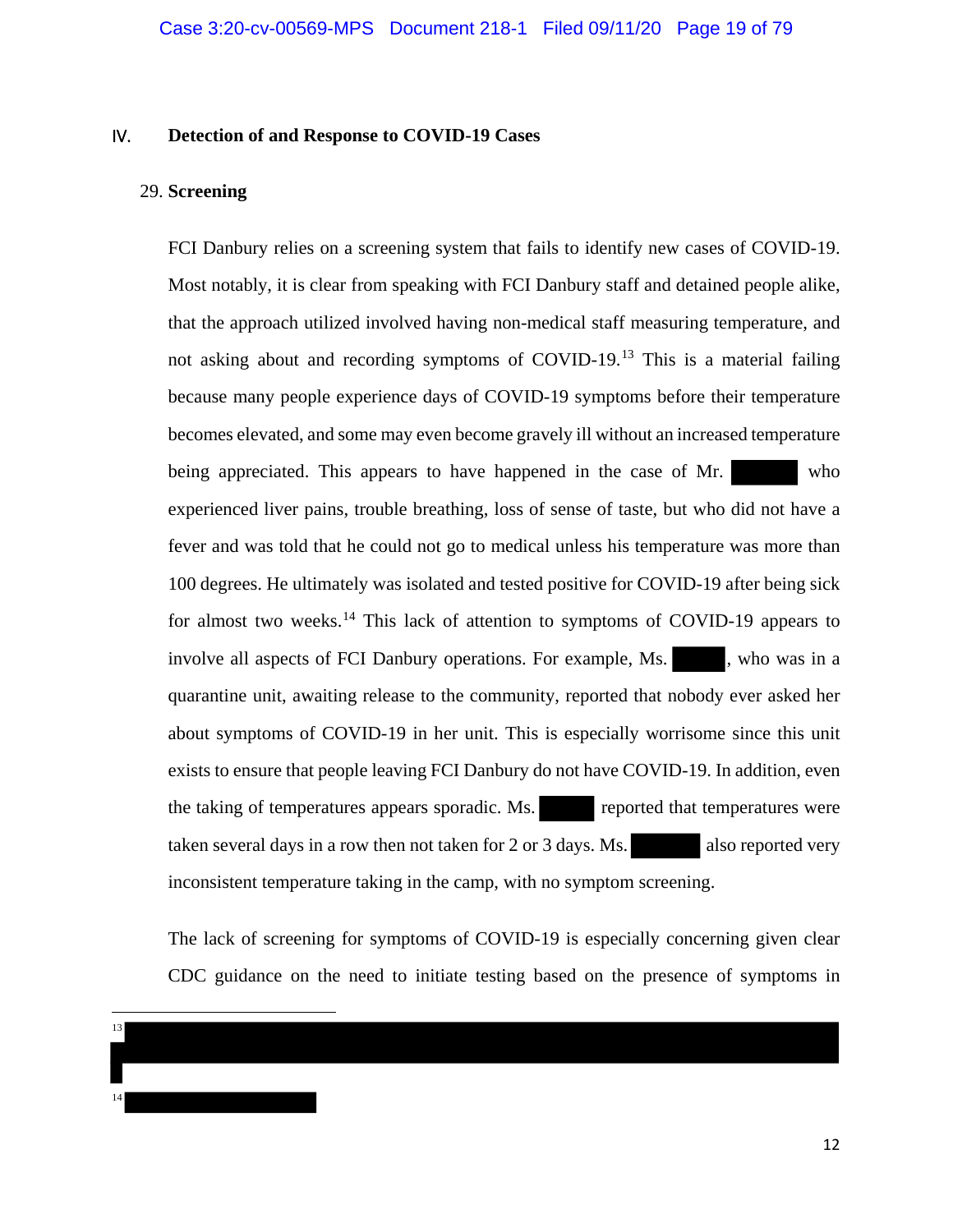## IV. **Detection of and Response to COVID-19 Cases**

## 29. **Screening**

FCI Danbury relies on a screening system that fails to identify new cases of COVID-19. Most notably, it is clear from speaking with FCI Danbury staff and detained people alike, that the approach utilized involved having non-medical staff measuring temperature, and not asking about and recording symptoms of COVID-19.<sup>13</sup> This is a material failing because many people experience days of COVID-19 symptoms before their temperature becomes elevated, and some may even become gravely ill without an increased temperature being appreciated. This appears to have happened in the case of Mr. who experienced liver pains, trouble breathing, loss of sense of taste, but who did not have a fever and was told that he could not go to medical unless his temperature was more than 100 degrees. He ultimately was isolated and tested positive for COVID-19 after being sick for almost two weeks.<sup>14</sup> This lack of attention to symptoms of COVID-19 appears to involve all aspects of FCI Danbury operations. For example, Ms. , who was in a quarantine unit, awaiting release to the community, reported that nobody ever asked her about symptoms of COVID-19 in her unit. This is especially worrisome since this unit exists to ensure that people leaving FCI Danbury do not have COVID-19. In addition, even the taking of temperatures appears sporadic. Ms. reported that temperatures were taken several days in a row then not taken for 2 or 3 days. Ms. also reported very inconsistent temperature taking in the camp, with no symptom screening.

The lack of screening for symptoms of COVID-19 is especially concerning given clear CDC guidance on the need to initiate testing based on the presence of symptoms in

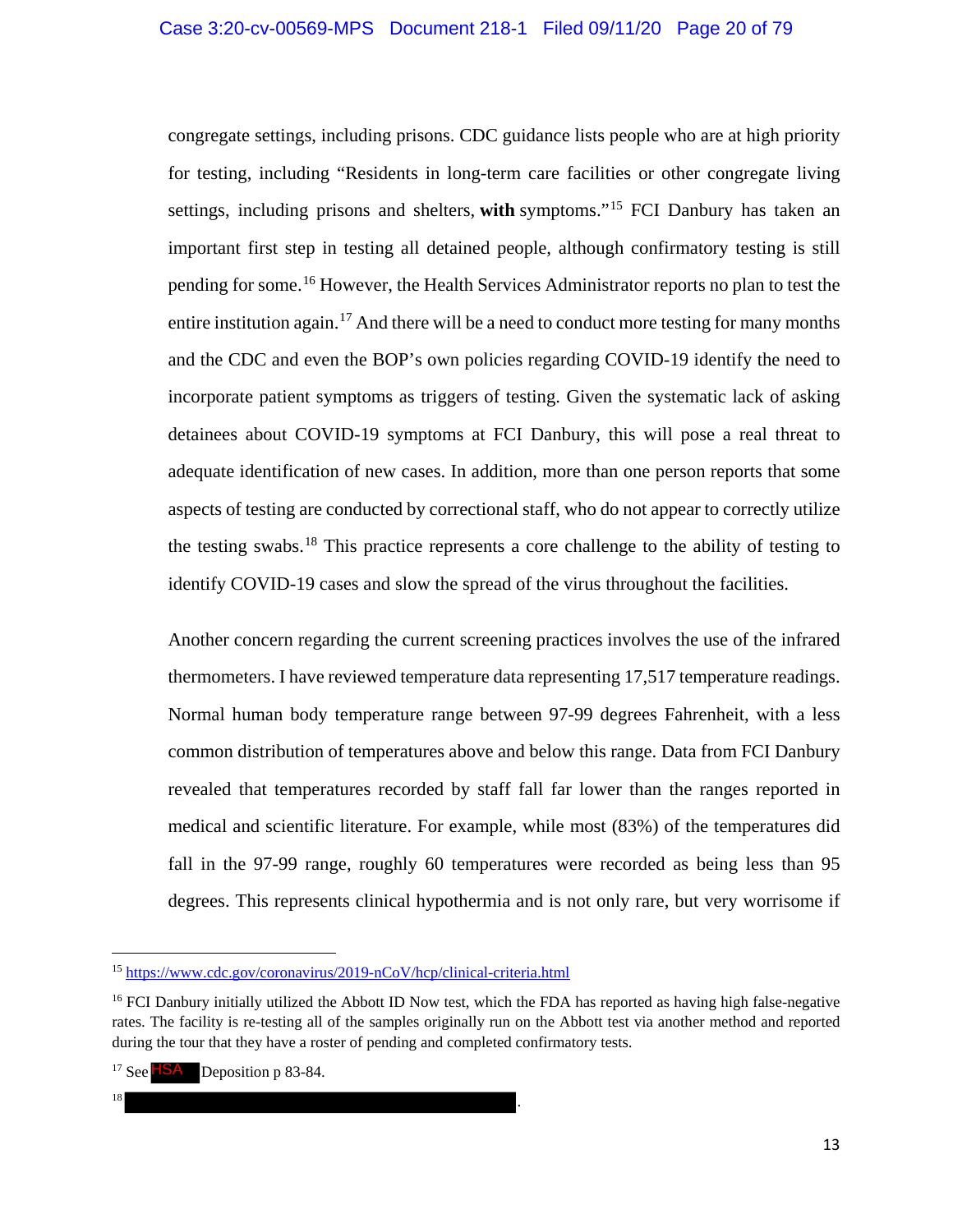congregate settings, including prisons. CDC guidance lists people who are at high priority for testing, including "Residents in long-term care facilities or other congregate living settings, including prisons and shelters, **with** symptoms."<sup>15</sup> FCI Danbury has taken an important first step in testing all detained people, although confirmatory testing is still pending for some. <sup>16</sup> However, the Health Services Administrator reports no plan to test the entire institution again.<sup>17</sup> And there will be a need to conduct more testing for many months and the CDC and even the BOP's own policies regarding COVID-19 identify the need to incorporate patient symptoms as triggers of testing. Given the systematic lack of asking detainees about COVID-19 symptoms at FCI Danbury, this will pose a real threat to adequate identification of new cases. In addition, more than one person reports that some aspects of testing are conducted by correctional staff, who do not appear to correctly utilize the testing swabs.<sup>18</sup> This practice represents a core challenge to the ability of testing to identify COVID-19 cases and slow the spread of the virus throughout the facilities.

Another concern regarding the current screening practices involves the use of the infrared thermometers. I have reviewed temperature data representing 17,517 temperature readings. Normal human body temperature range between 97-99 degrees Fahrenheit, with a less common distribution of temperatures above and below this range. Data from FCI Danbury revealed that temperatures recorded by staff fall far lower than the ranges reported in medical and scientific literature. For example, while most (83%) of the temperatures did fall in the 97-99 range, roughly 60 temperatures were recorded as being less than 95 degrees. This represents clinical hypothermia and is not only rare, but very worrisome if

 $\overline{18}$  .

 $\overline{a}$ 

<sup>15</sup> https://www.cdc.gov/coronavirus/2019-nCoV/hcp/clinical-criteria.html

<sup>&</sup>lt;sup>16</sup> FCI Danbury initially utilized the Abbott ID Now test, which the FDA has reported as having high false-negative rates. The facility is re-testing all of the samples originally run on the Abbott test via another method and reported during the tour that they have a roster of pending and completed confirmatory tests.

<sup>&</sup>lt;sup>17</sup> See  $\overline{\text{HSA}}$  Deposition p 83-84.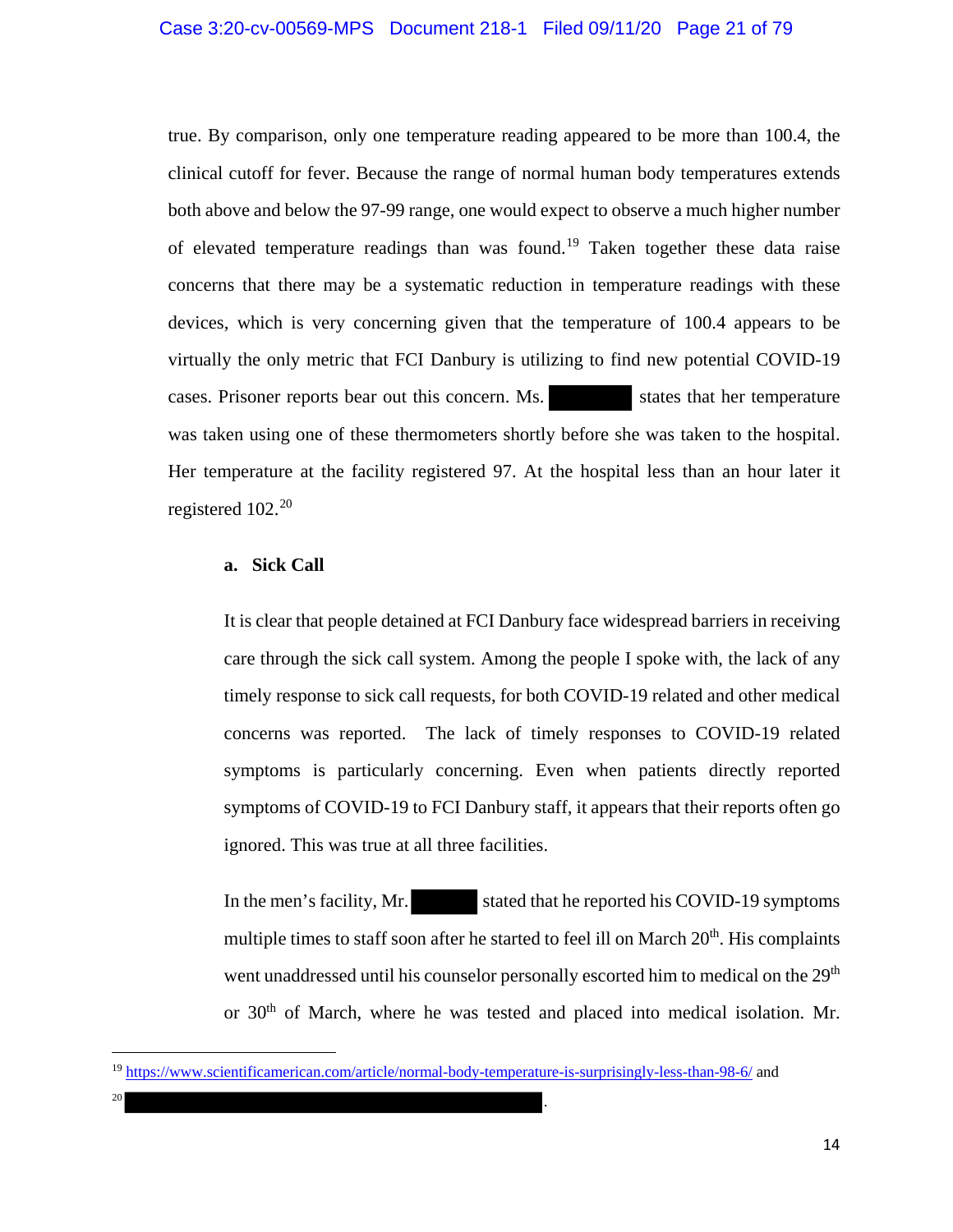#### Case 3:20-cv-00569-MPS Document 218-1 Filed 09/11/20 Page 21 of 79

true. By comparison, only one temperature reading appeared to be more than 100.4, the clinical cutoff for fever. Because the range of normal human body temperatures extends both above and below the 97-99 range, one would expect to observe a much higher number of elevated temperature readings than was found.<sup>19</sup> Taken together these data raise concerns that there may be a systematic reduction in temperature readings with these devices, which is very concerning given that the temperature of 100.4 appears to be virtually the only metric that FCI Danbury is utilizing to find new potential COVID-19 cases. Prisoner reports bear out this concern. Ms. states that her temperature was taken using one of these thermometers shortly before she was taken to the hospital. Her temperature at the facility registered 97. At the hospital less than an hour later it registered  $102.^{20}$ 

#### **a. Sick Call**

It is clear that people detained at FCI Danbury face widespread barriers in receiving care through the sick call system. Among the people I spoke with, the lack of any timely response to sick call requests, for both COVID-19 related and other medical concerns was reported. The lack of timely responses to COVID-19 related symptoms is particularly concerning. Even when patients directly reported symptoms of COVID-19 to FCI Danbury staff, it appears that their reports often go ignored. This was true at all three facilities.

In the men's facility, Mr. stated that he reported his COVID-19 symptoms multiple times to staff soon after he started to feel ill on March  $20<sup>th</sup>$ . His complaints went unaddressed until his counselor personally escorted him to medical on the 29<sup>th</sup> or 30<sup>th</sup> of March, where he was tested and placed into medical isolation. Mr.

<sup>20</sup> .

 $\overline{\phantom{a}}$ 

<sup>19</sup> https://www.scientificamerican.com/article/normal-body-temperature-is-surprisingly-less-than-98-6/ and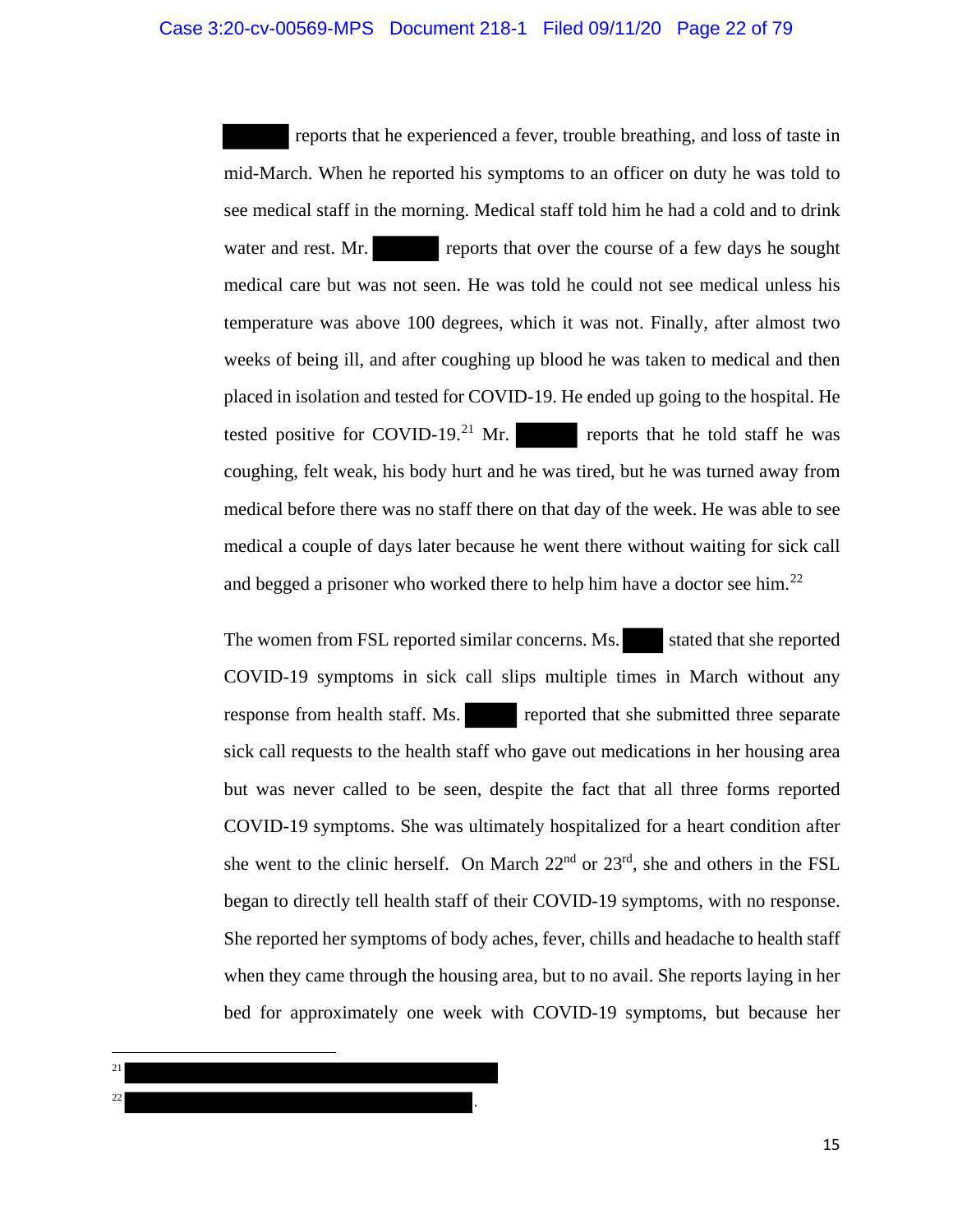reports that he experienced a fever, trouble breathing, and loss of taste in mid-March. When he reported his symptoms to an officer on duty he was told to see medical staff in the morning. Medical staff told him he had a cold and to drink water and rest. Mr. reports that over the course of a few days he sought medical care but was not seen. He was told he could not see medical unless his temperature was above 100 degrees, which it was not. Finally, after almost two weeks of being ill, and after coughing up blood he was taken to medical and then placed in isolation and tested for COVID-19. He ended up going to the hospital. He tested positive for COVID-19.<sup>21</sup> Mr. reports that he told staff he was coughing, felt weak, his body hurt and he was tired, but he was turned away from medical before there was no staff there on that day of the week. He was able to see medical a couple of days later because he went there without waiting for sick call and begged a prisoner who worked there to help him have a doctor see him.<sup>22</sup>

The women from FSL reported similar concerns. Ms. stated that she reported COVID-19 symptoms in sick call slips multiple times in March without any response from health staff. Ms. reported that she submitted three separate sick call requests to the health staff who gave out medications in her housing area but was never called to be seen, despite the fact that all three forms reported COVID-19 symptoms. She was ultimately hospitalized for a heart condition after she went to the clinic herself. On March 22<sup>nd</sup> or 23<sup>rd</sup>, she and others in the FSL began to directly tell health staff of their COVID-19 symptoms, with no response. She reported her symptoms of body aches, fever, chills and headache to health staff when they came through the housing area, but to no avail. She reports laying in her bed for approximately one week with COVID-19 symptoms, but because her

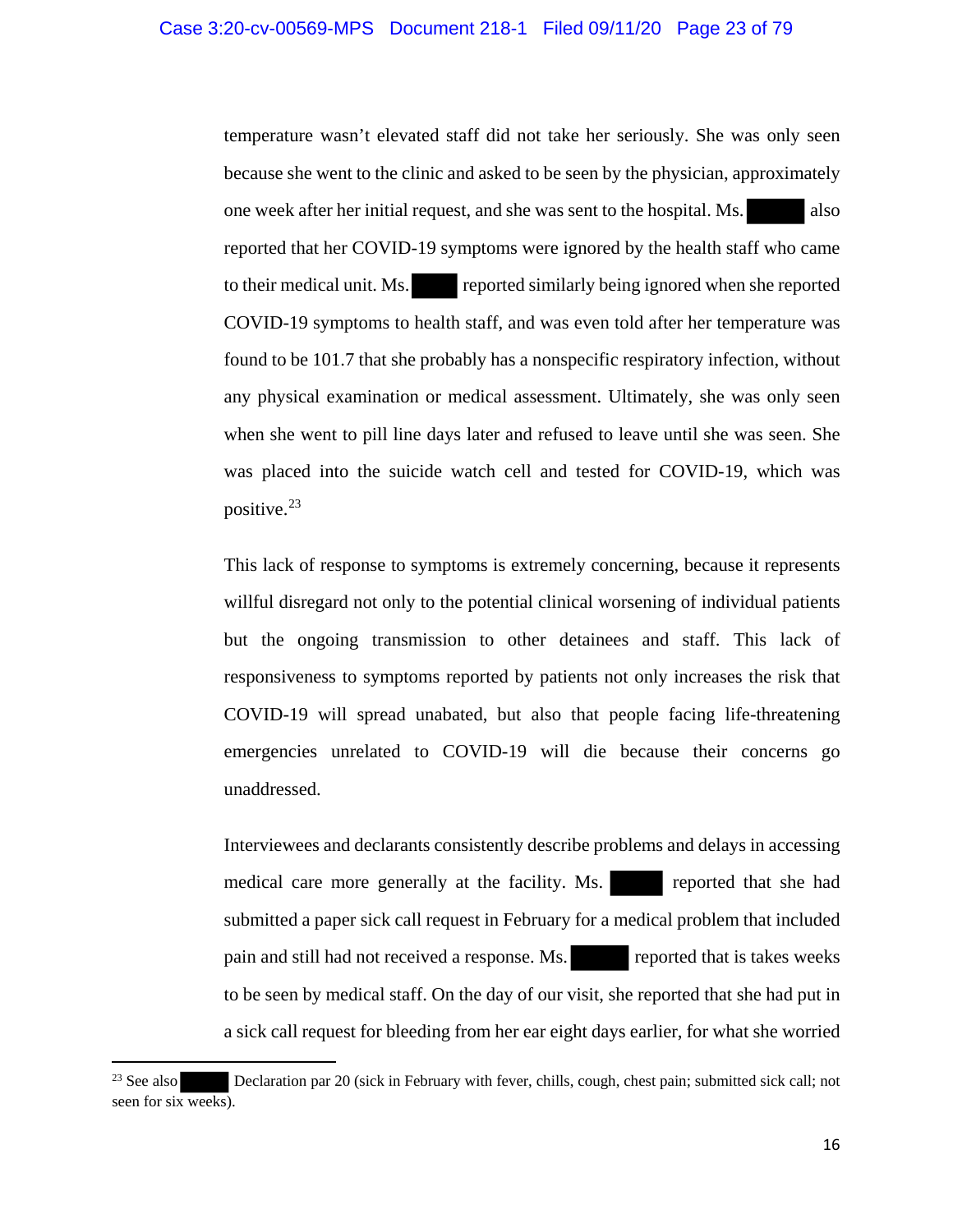temperature wasn't elevated staff did not take her seriously. She was only seen because she went to the clinic and asked to be seen by the physician, approximately one week after her initial request, and she was sent to the hospital. Ms. also reported that her COVID-19 symptoms were ignored by the health staff who came to their medical unit. Ms. reported similarly being ignored when she reported COVID-19 symptoms to health staff, and was even told after her temperature was found to be 101.7 that she probably has a nonspecific respiratory infection, without any physical examination or medical assessment. Ultimately, she was only seen when she went to pill line days later and refused to leave until she was seen. She was placed into the suicide watch cell and tested for COVID-19, which was positive.<sup>23</sup>

This lack of response to symptoms is extremely concerning, because it represents willful disregard not only to the potential clinical worsening of individual patients but the ongoing transmission to other detainees and staff. This lack of responsiveness to symptoms reported by patients not only increases the risk that COVID-19 will spread unabated, but also that people facing life-threatening emergencies unrelated to COVID-19 will die because their concerns go unaddressed.

Interviewees and declarants consistently describe problems and delays in accessing medical care more generally at the facility. Ms. reported that she had submitted a paper sick call request in February for a medical problem that included pain and still had not received a response. Ms. reported that is takes weeks to be seen by medical staff. On the day of our visit, she reported that she had put in a sick call request for bleeding from her ear eight days earlier, for what she worried

 $\overline{\phantom{a}}$ 

<sup>&</sup>lt;sup>23</sup> See also Declaration par 20 (sick in February with fever, chills, cough, chest pain; submitted sick call; not seen for six weeks).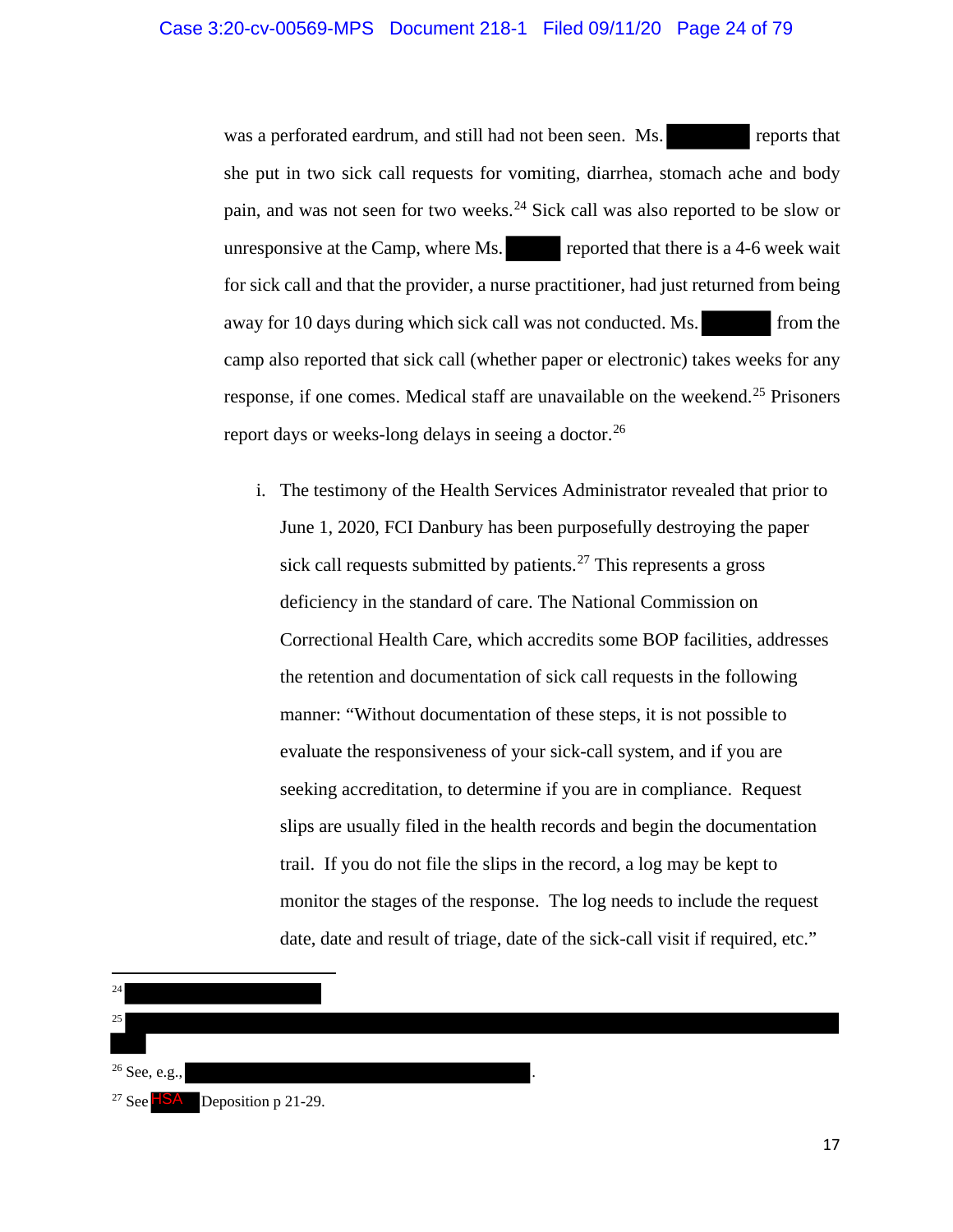was a perforated eardrum, and still had not been seen. Ms. reports that she put in two sick call requests for vomiting, diarrhea, stomach ache and body pain, and was not seen for two weeks.<sup>24</sup> Sick call was also reported to be slow or unresponsive at the Camp, where Ms. reported that there is a 4-6 week wait for sick call and that the provider, a nurse practitioner, had just returned from being away for 10 days during which sick call was not conducted. Ms. from the camp also reported that sick call (whether paper or electronic) takes weeks for any response, if one comes. Medical staff are unavailable on the weekend.<sup>25</sup> Prisoners report days or weeks-long delays in seeing a doctor.<sup>26</sup>

i. The testimony of the Health Services Administrator revealed that prior to June 1, 2020, FCI Danbury has been purposefully destroying the paper sick call requests submitted by patients.<sup>27</sup> This represents a gross deficiency in the standard of care. The National Commission on Correctional Health Care, which accredits some BOP facilities, addresses the retention and documentation of sick call requests in the following manner: "Without documentation of these steps, it is not possible to evaluate the responsiveness of your sick-call system, and if you are seeking accreditation, to determine if you are in compliance. Request slips are usually filed in the health records and begin the documentation trail. If you do not file the slips in the record, a log may be kept to monitor the stages of the response. The log needs to include the request date, date and result of triage, date of the sick-call visit if required, etc."

 $\overline{\phantom{a}}$ 24 25  $26$  See, e.g., <sup>27</sup> See  $HSA$  Deposition p 21-29.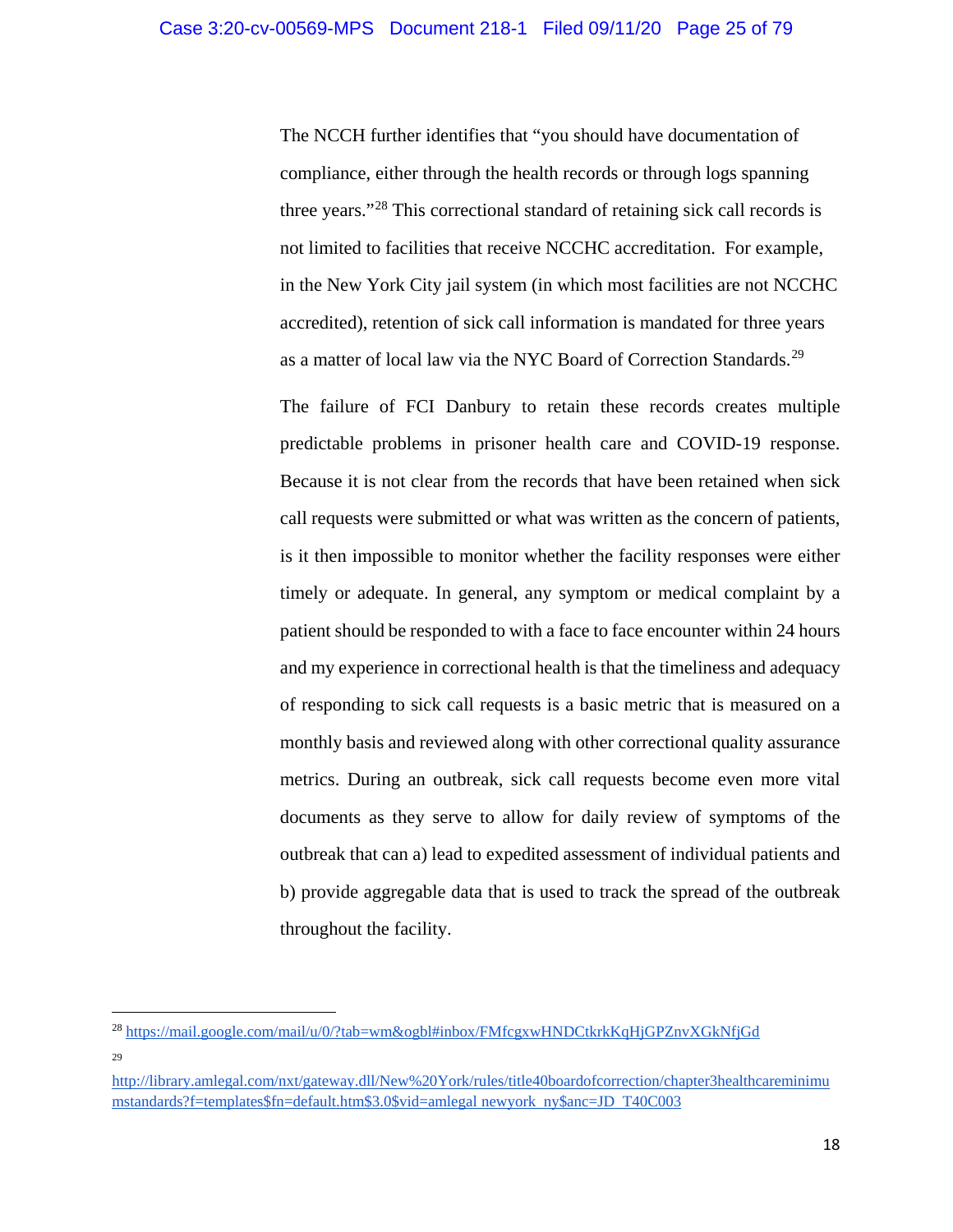The NCCH further identifies that "you should have documentation of compliance, either through the health records or through logs spanning three years."<sup>28</sup> This correctional standard of retaining sick call records is not limited to facilities that receive NCCHC accreditation. For example, in the New York City jail system (in which most facilities are not NCCHC accredited), retention of sick call information is mandated for three years as a matter of local law via the NYC Board of Correction Standards.<sup>29</sup>

The failure of FCI Danbury to retain these records creates multiple predictable problems in prisoner health care and COVID-19 response. Because it is not clear from the records that have been retained when sick call requests were submitted or what was written as the concern of patients, is it then impossible to monitor whether the facility responses were either timely or adequate. In general, any symptom or medical complaint by a patient should be responded to with a face to face encounter within 24 hours and my experience in correctional health is that the timeliness and adequacy of responding to sick call requests is a basic metric that is measured on a monthly basis and reviewed along with other correctional quality assurance metrics. During an outbreak, sick call requests become even more vital documents as they serve to allow for daily review of symptoms of the outbreak that can a) lead to expedited assessment of individual patients and b) provide aggregable data that is used to track the spread of the outbreak throughout the facility.

l

<sup>&</sup>lt;sup>28</sup> https://mail.google.com/mail/u/0/?tab=wm&ogbl#inbox/FMfcgxwHNDCtkrkKqHjGPZnvXGkNfjGd 29

http://library.amlegal.com/nxt/gateway.dll/New%20York/rules/title40boardofcorrection/chapter3healthcareminimu mstandards?f=templates\$fn=default.htm\$3.0\$vid=amlegal newyork ny\$anc=JD T40C003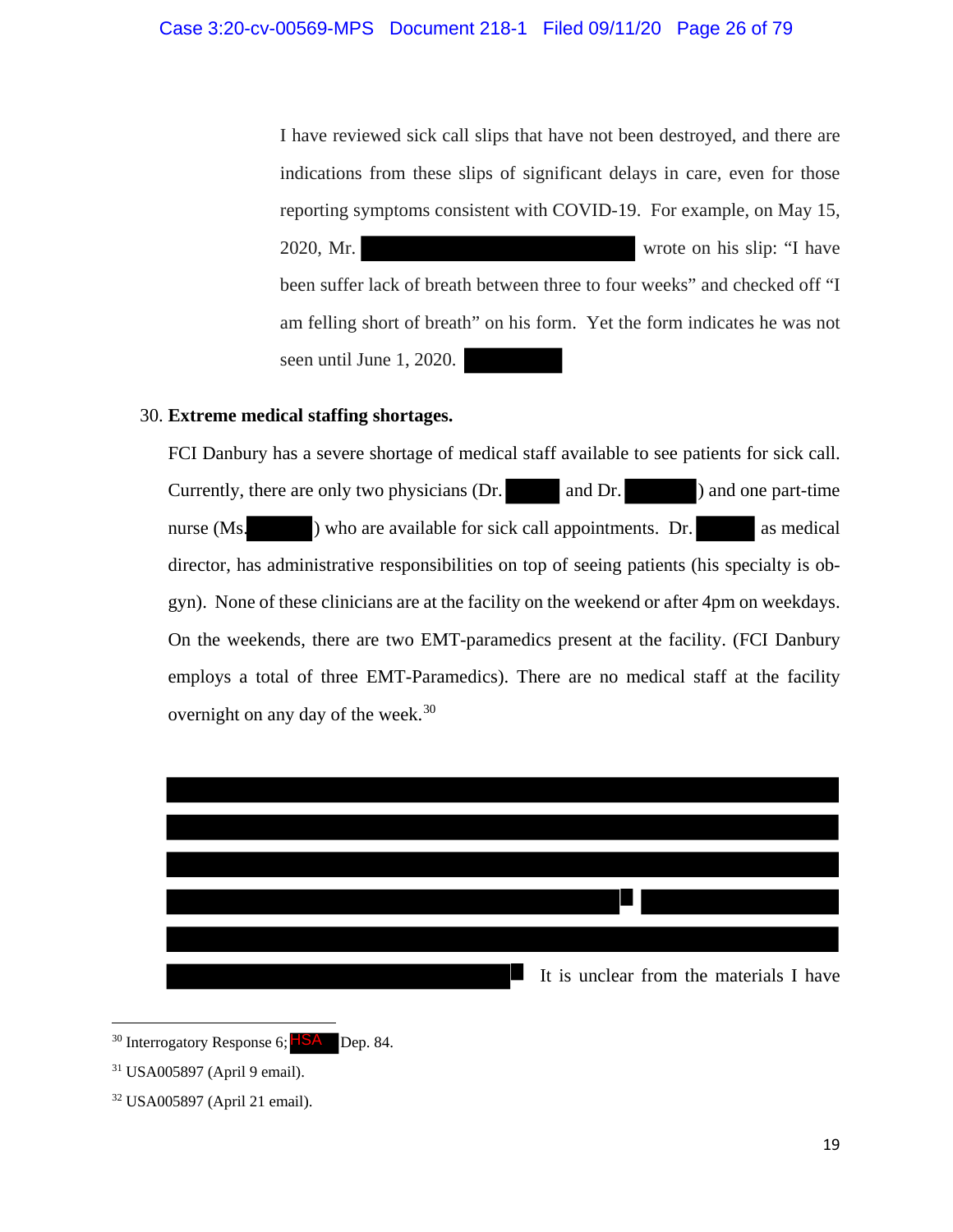I have reviewed sick call slips that have not been destroyed, and there are indications from these slips of significant delays in care, even for those reporting symptoms consistent with COVID-19. For example, on May 15, 2020, Mr. wrote on his slip: "I have been suffer lack of breath between three to four weeks" and checked off "I am felling short of breath" on his form. Yet the form indicates he was not seen until June 1, 2020.

## 30. **Extreme medical staffing shortages.**

FCI Danbury has a severe shortage of medical staff available to see patients for sick call. Currently, there are only two physicians (Dr. and Dr. ) and one part-time nurse (Ms. ) who are available for sick call appointments. Dr. as medical director, has administrative responsibilities on top of seeing patients (his specialty is obgyn). None of these clinicians are at the facility on the weekend or after 4pm on weekdays. On the weekends, there are two EMT-paramedics present at the facility. (FCI Danbury employs a total of three EMT-Paramedics). There are no medical staff at the facility overnight on any day of the week.<sup>30</sup>



<sup>&</sup>lt;sup>30</sup> Interrogatory Response 6; **ISA** Dep. 84.

 $\overline{a}$ 

<sup>31</sup> USA005897 (April 9 email).

<sup>32</sup> USA005897 (April 21 email).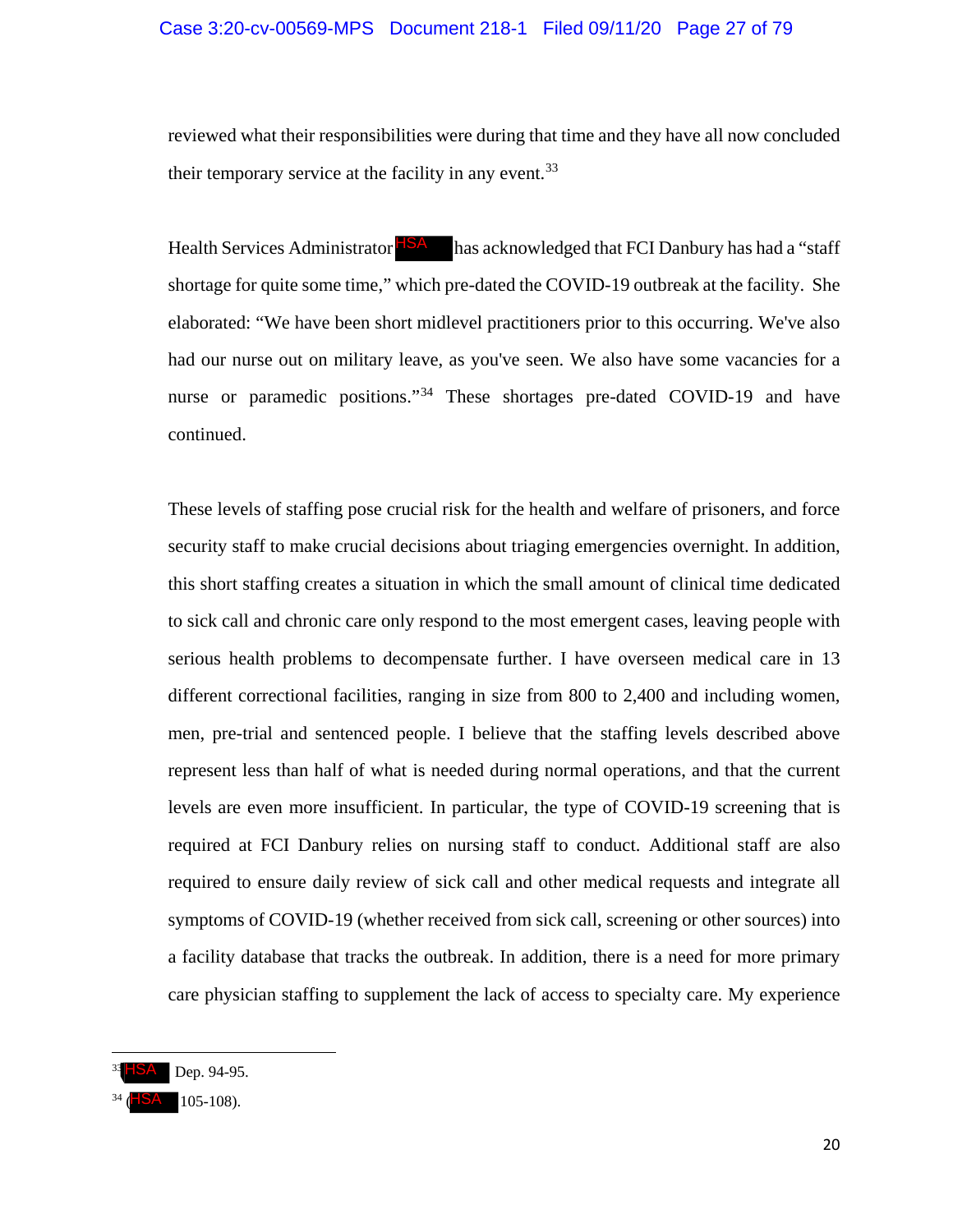## Case 3:20-cv-00569-MPS Document 218-1 Filed 09/11/20 Page 27 of 79

reviewed what their responsibilities were during that time and they have all now concluded their temporary service at the facility in any event.<sup>33</sup>

Health Services Administrator **HSA** has acknowledged that FCI Danbury has had a "staff shortage for quite some time," which pre-dated the COVID-19 outbreak at the facility. She elaborated: "We have been short midlevel practitioners prior to this occurring. We've also had our nurse out on military leave, as you've seen. We also have some vacancies for a nurse or paramedic positions."<sup>34</sup> These shortages pre-dated COVID-19 and have continued.

These levels of staffing pose crucial risk for the health and welfare of prisoners, and force security staff to make crucial decisions about triaging emergencies overnight. In addition, this short staffing creates a situation in which the small amount of clinical time dedicated to sick call and chronic care only respond to the most emergent cases, leaving people with serious health problems to decompensate further. I have overseen medical care in 13 different correctional facilities, ranging in size from 800 to 2,400 and including women, men, pre-trial and sentenced people. I believe that the staffing levels described above represent less than half of what is needed during normal operations, and that the current levels are even more insufficient. In particular, the type of COVID-19 screening that is required at FCI Danbury relies on nursing staff to conduct. Additional staff are also required to ensure daily review of sick call and other medical requests and integrate all symptoms of COVID-19 (whether received from sick call, screening or other sources) into a facility database that tracks the outbreak. In addition, there is a need for more primary care physician staffing to supplement the lack of access to specialty care. My experience

 $\overline{\phantom{a}}$ 

<sup>&</sup>lt;sup>33</sup> HSA Dep. 94-95.<br><sup>34</sup> (HSA 105-108).

 $3A$  ( 105-108).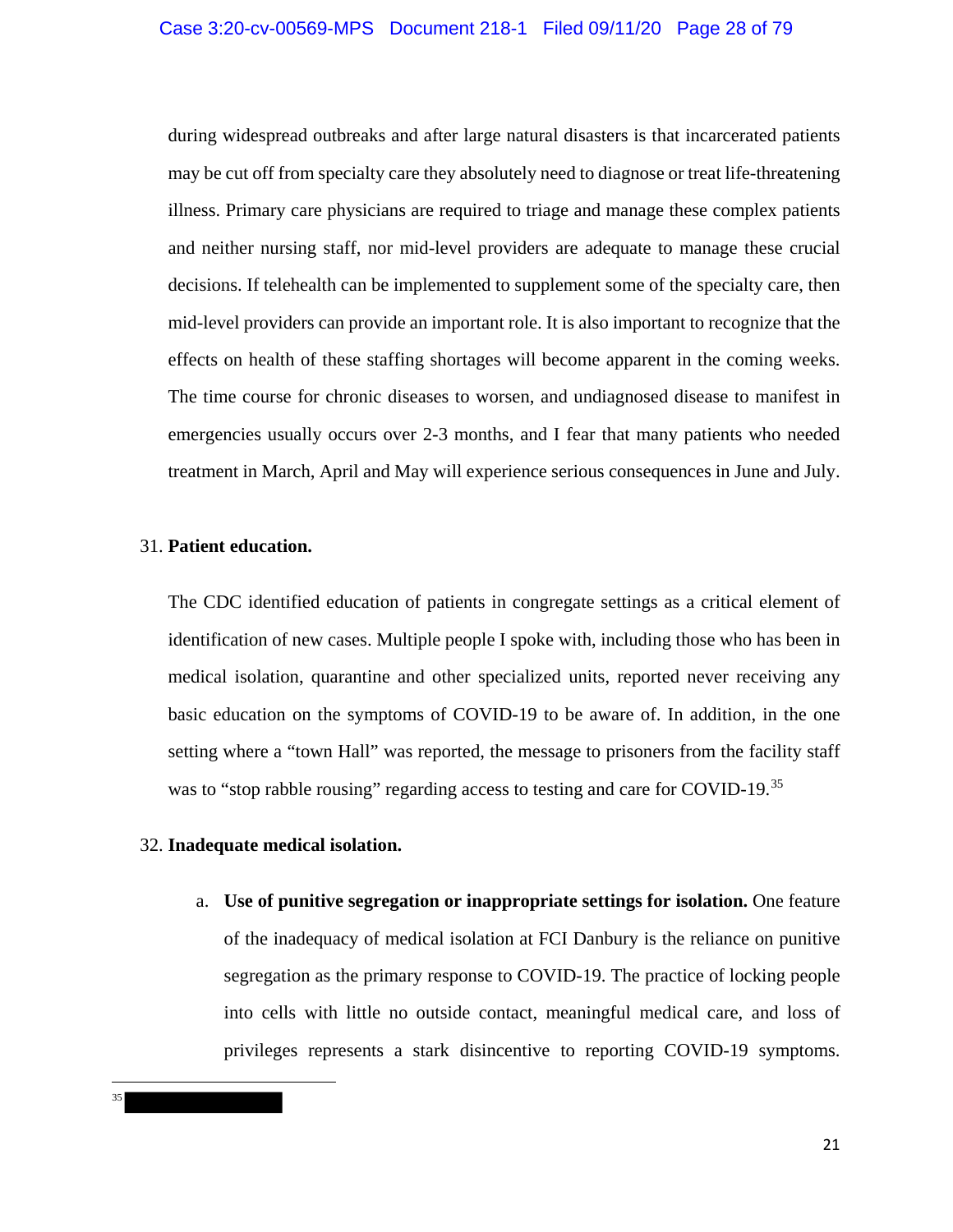during widespread outbreaks and after large natural disasters is that incarcerated patients may be cut off from specialty care they absolutely need to diagnose or treat life-threatening illness. Primary care physicians are required to triage and manage these complex patients and neither nursing staff, nor mid-level providers are adequate to manage these crucial decisions. If telehealth can be implemented to supplement some of the specialty care, then mid-level providers can provide an important role. It is also important to recognize that the effects on health of these staffing shortages will become apparent in the coming weeks. The time course for chronic diseases to worsen, and undiagnosed disease to manifest in emergencies usually occurs over 2-3 months, and I fear that many patients who needed treatment in March, April and May will experience serious consequences in June and July.

## 31. **Patient education.**

The CDC identified education of patients in congregate settings as a critical element of identification of new cases. Multiple people I spoke with, including those who has been in medical isolation, quarantine and other specialized units, reported never receiving any basic education on the symptoms of COVID-19 to be aware of. In addition, in the one setting where a "town Hall" was reported, the message to prisoners from the facility staff was to "stop rabble rousing" regarding access to testing and care for COVID-19.<sup>35</sup>

## 32. **Inadequate medical isolation.**

l 35 a. **Use of punitive segregation or inappropriate settings for isolation.** One feature of the inadequacy of medical isolation at FCI Danbury is the reliance on punitive segregation as the primary response to COVID-19. The practice of locking people into cells with little no outside contact, meaningful medical care, and loss of privileges represents a stark disincentive to reporting COVID-19 symptoms.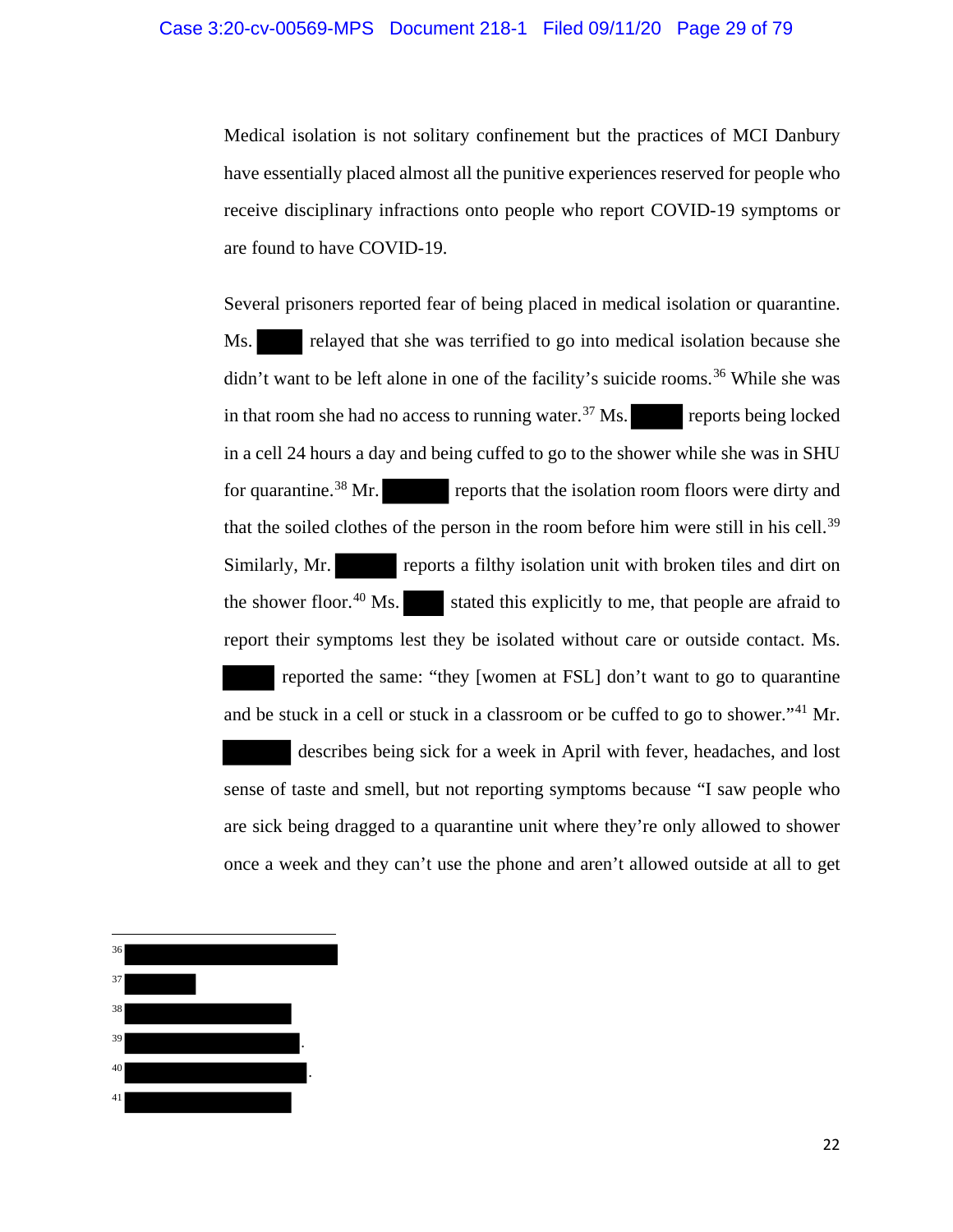Medical isolation is not solitary confinement but the practices of MCI Danbury have essentially placed almost all the punitive experiences reserved for people who receive disciplinary infractions onto people who report COVID-19 symptoms or are found to have COVID-19.

Several prisoners reported fear of being placed in medical isolation or quarantine. Ms. relayed that she was terrified to go into medical isolation because she didn't want to be left alone in one of the facility's suicide rooms.<sup>36</sup> While she was in that room she had no access to running water.<sup>37</sup> Ms. reports being locked in a cell 24 hours a day and being cuffed to go to the shower while she was in SHU for quarantine.<sup>38</sup> Mr. reports that the isolation room floors were dirty and that the soiled clothes of the person in the room before him were still in his cell.<sup>39</sup> Similarly, Mr. reports a filthy isolation unit with broken tiles and dirt on the shower floor.<sup>40</sup> Ms. stated this explicitly to me, that people are afraid to report their symptoms lest they be isolated without care or outside contact. Ms. reported the same: "they [women at FSL] don't want to go to quarantine and be stuck in a cell or stuck in a classroom or be cuffed to go to shower."<sup>41</sup> Mr.

 describes being sick for a week in April with fever, headaches, and lost sense of taste and smell, but not reporting symptoms because "I saw people who are sick being dragged to a quarantine unit where they're only allowed to shower once a week and they can't use the phone and aren't allowed outside at all to get

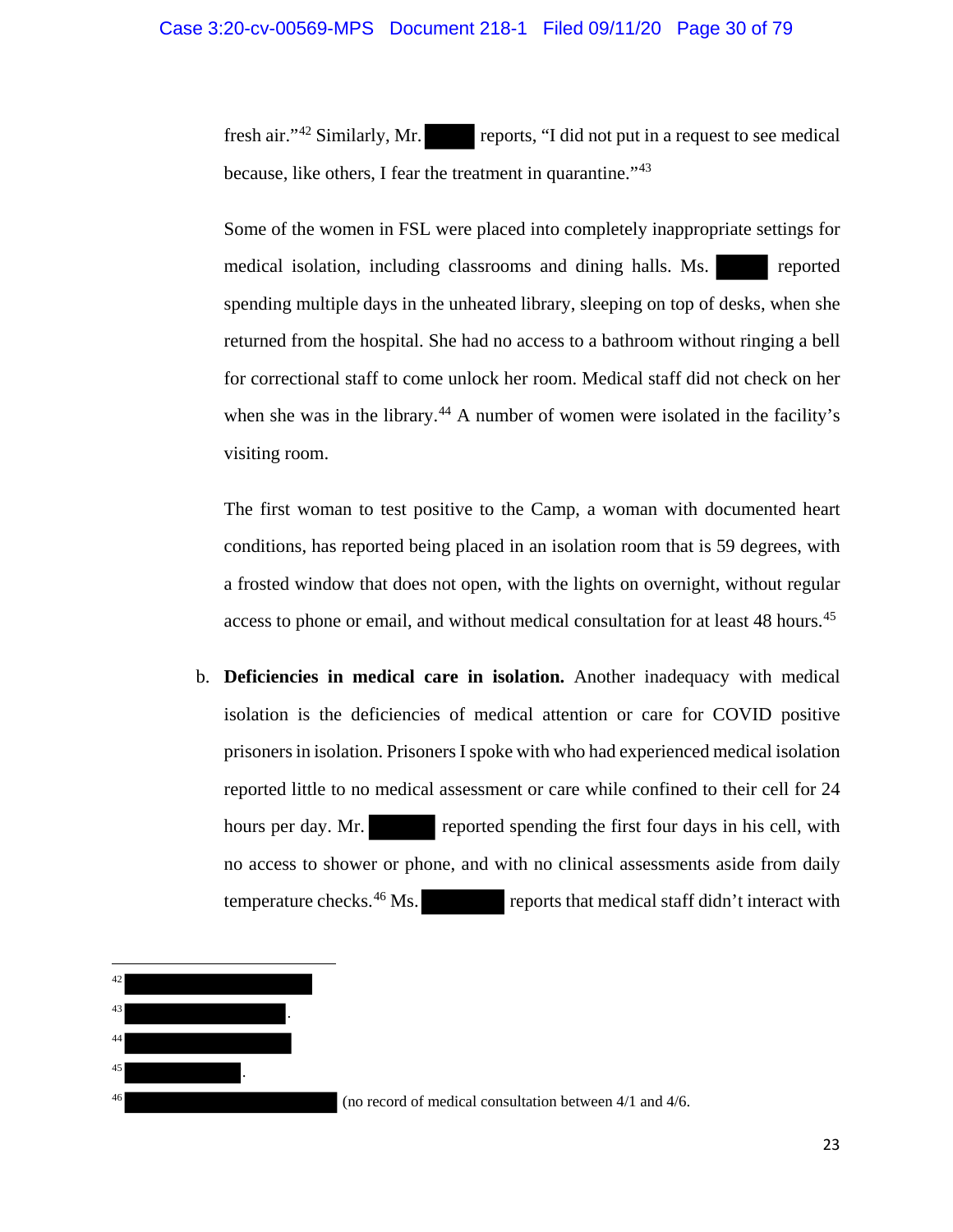fresh air."<sup>42</sup> Similarly, Mr. reports, "I did not put in a request to see medical because, like others, I fear the treatment in quarantine."<sup>43</sup>

Some of the women in FSL were placed into completely inappropriate settings for medical isolation, including classrooms and dining halls. Ms. reported spending multiple days in the unheated library, sleeping on top of desks, when she returned from the hospital. She had no access to a bathroom without ringing a bell for correctional staff to come unlock her room. Medical staff did not check on her when she was in the library.<sup>44</sup> A number of women were isolated in the facility's visiting room.

The first woman to test positive to the Camp, a woman with documented heart conditions, has reported being placed in an isolation room that is 59 degrees, with a frosted window that does not open, with the lights on overnight, without regular access to phone or email, and without medical consultation for at least 48 hours.<sup>45</sup>

b. **Deficiencies in medical care in isolation.** Another inadequacy with medical isolation is the deficiencies of medical attention or care for COVID positive prisoners in isolation. PrisonersI spoke with who had experienced medical isolation reported little to no medical assessment or care while confined to their cell for 24 hours per day. Mr. reported spending the first four days in his cell, with no access to shower or phone, and with no clinical assessments aside from daily temperature checks.<sup>46</sup> Ms. reports that medical staff didn't interact with

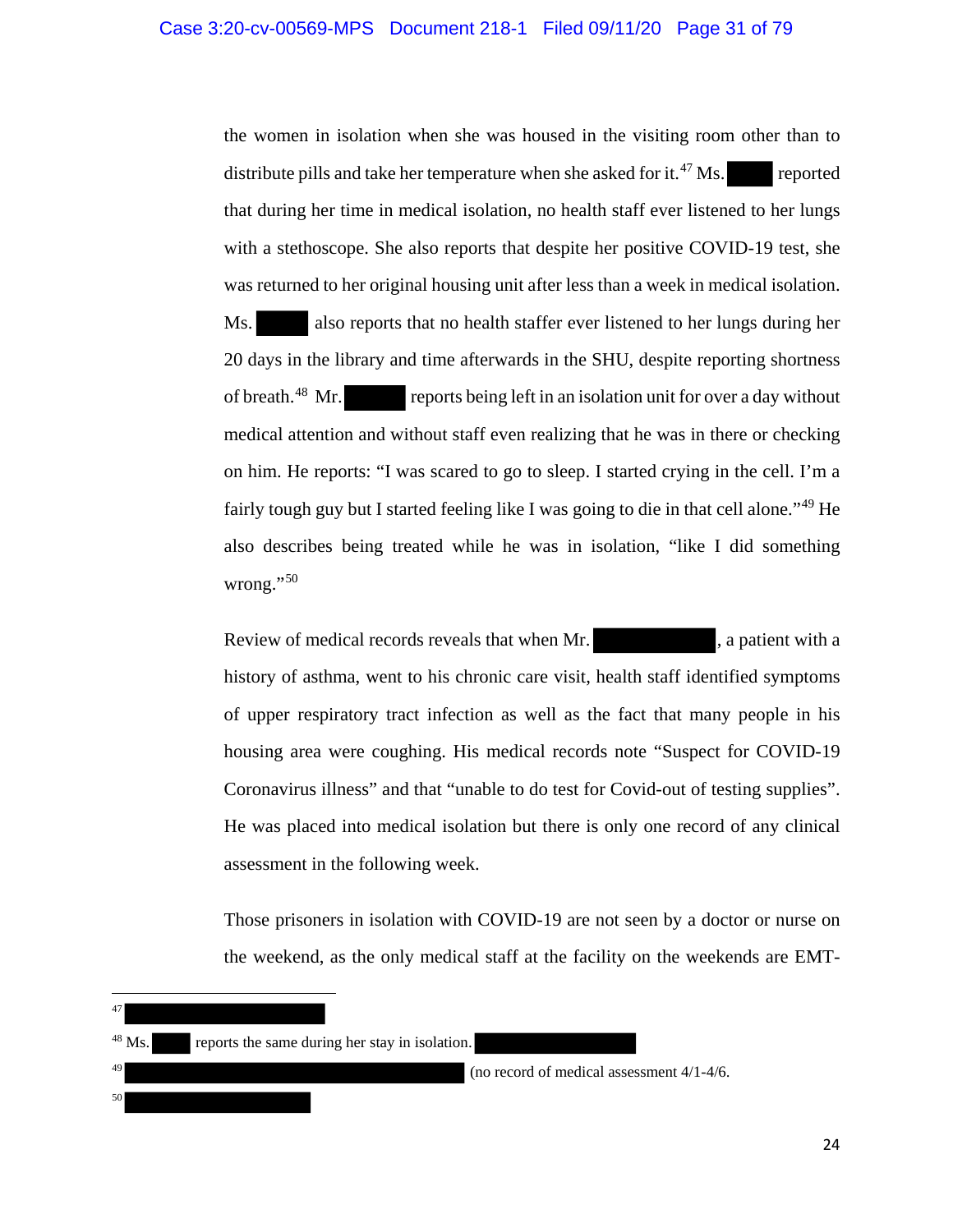the women in isolation when she was housed in the visiting room other than to distribute pills and take her temperature when she asked for it.<sup>47</sup> Ms. reported that during her time in medical isolation, no health staff ever listened to her lungs with a stethoscope. She also reports that despite her positive COVID-19 test, she was returned to her original housing unit after less than a week in medical isolation. Ms. also reports that no health staffer ever listened to her lungs during her 20 days in the library and time afterwards in the SHU, despite reporting shortness of breath.<sup>48</sup> Mr. reports being left in an isolation unit for over a day without medical attention and without staff even realizing that he was in there or checking on him. He reports: "I was scared to go to sleep. I started crying in the cell. I'm a fairly tough guy but I started feeling like I was going to die in that cell alone."<sup>49</sup> He also describes being treated while he was in isolation, "like I did something wrong."<sup>50</sup>

Review of medical records reveals that when Mr. , a patient with a history of asthma, went to his chronic care visit, health staff identified symptoms of upper respiratory tract infection as well as the fact that many people in his housing area were coughing. His medical records note "Suspect for COVID-19 Coronavirus illness" and that "unable to do test for Covid-out of testing supplies". He was placed into medical isolation but there is only one record of any clinical assessment in the following week.

Those prisoners in isolation with COVID-19 are not seen by a doctor or nurse on the weekend, as the only medical staff at the facility on the weekends are EMT-

l 47

50

(no record of medical assessment  $4/1-4/6$ .

<sup>48</sup> Ms. reports the same during her stay in isolation.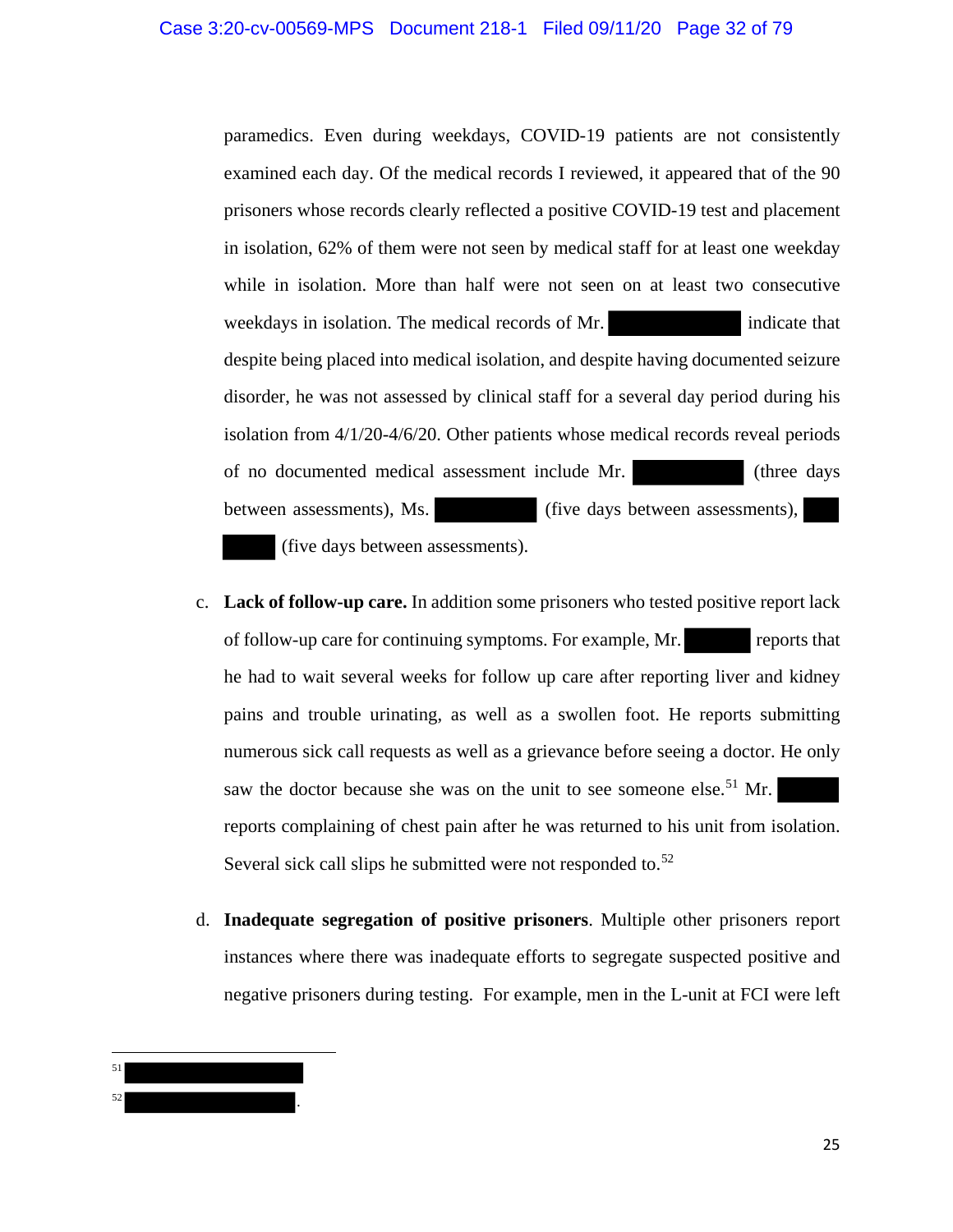paramedics. Even during weekdays, COVID-19 patients are not consistently examined each day. Of the medical records I reviewed, it appeared that of the 90 prisoners whose records clearly reflected a positive COVID-19 test and placement in isolation, 62% of them were not seen by medical staff for at least one weekday while in isolation. More than half were not seen on at least two consecutive weekdays in isolation. The medical records of Mr. indicate that despite being placed into medical isolation, and despite having documented seizure disorder, he was not assessed by clinical staff for a several day period during his isolation from 4/1/20-4/6/20. Other patients whose medical records reveal periods of no documented medical assessment include Mr. (three days between assessments), Ms. (five days between assessments), (five days between assessments).

- c. **Lack of follow-up care.** In addition some prisoners who tested positive report lack of follow-up care for continuing symptoms. For example, Mr. reports that he had to wait several weeks for follow up care after reporting liver and kidney pains and trouble urinating, as well as a swollen foot. He reports submitting numerous sick call requests as well as a grievance before seeing a doctor. He only saw the doctor because she was on the unit to see someone else.<sup>51</sup> Mr. reports complaining of chest pain after he was returned to his unit from isolation. Several sick call slips he submitted were not responded to.<sup>52</sup>
- d. **Inadequate segregation of positive prisoners**. Multiple other prisoners report instances where there was inadequate efforts to segregate suspected positive and negative prisoners during testing. For example, men in the L-unit at FCI were left

 $\overline{\phantom{a}}$ 51  $52$   $\cdot$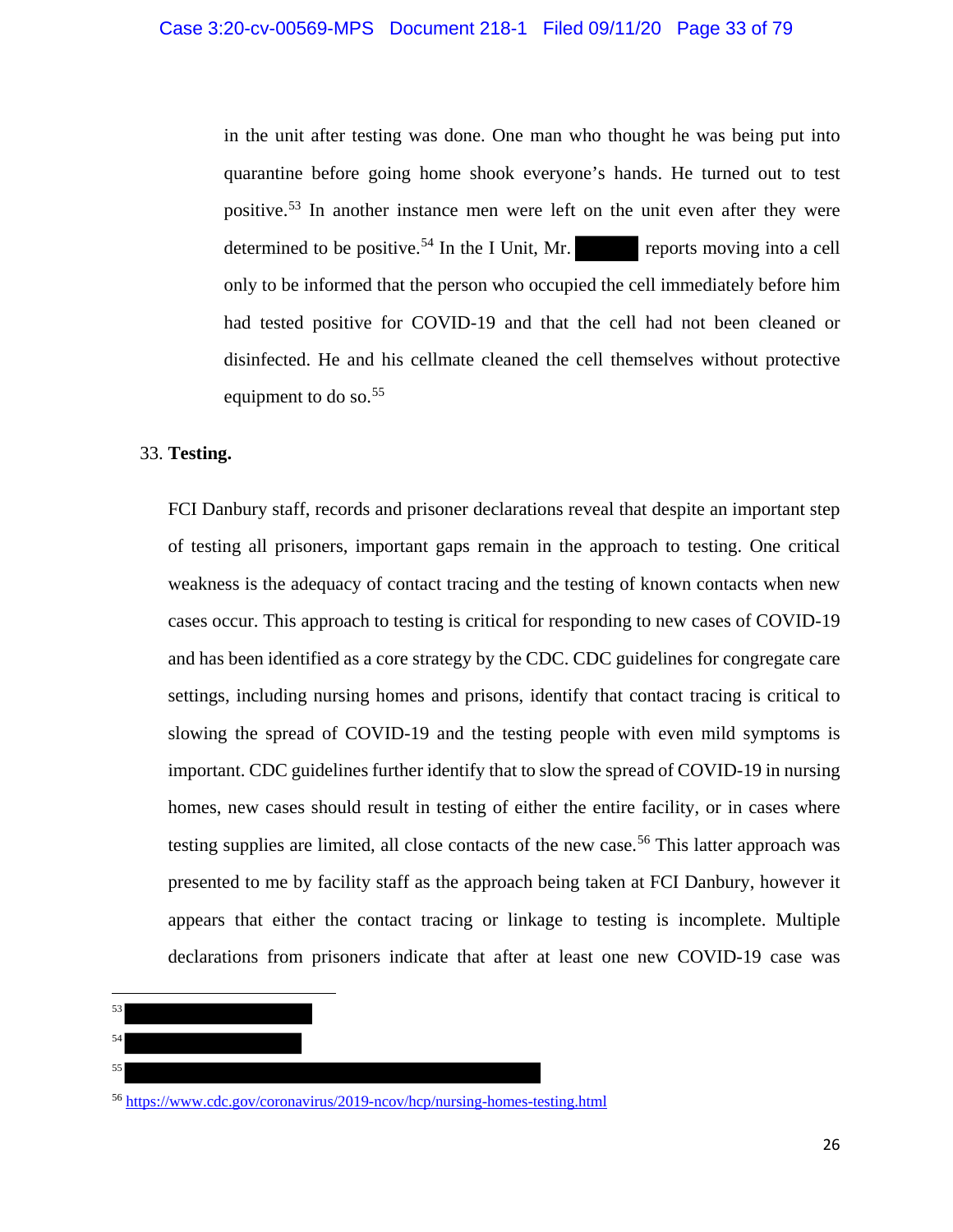in the unit after testing was done. One man who thought he was being put into quarantine before going home shook everyone's hands. He turned out to test positive.<sup>53</sup> In another instance men were left on the unit even after they were determined to be positive.<sup>54</sup> In the I Unit, Mr. reports moving into a cell only to be informed that the person who occupied the cell immediately before him had tested positive for COVID-19 and that the cell had not been cleaned or disinfected. He and his cellmate cleaned the cell themselves without protective equipment to do so. $55$ 

## 33. **Testing.**

l 53 54 FCI Danbury staff, records and prisoner declarations reveal that despite an important step of testing all prisoners, important gaps remain in the approach to testing. One critical weakness is the adequacy of contact tracing and the testing of known contacts when new cases occur. This approach to testing is critical for responding to new cases of COVID-19 and has been identified as a core strategy by the CDC. CDC guidelines for congregate care settings, including nursing homes and prisons, identify that contact tracing is critical to slowing the spread of COVID-19 and the testing people with even mild symptoms is important. CDC guidelines further identify that to slow the spread of COVID-19 in nursing homes, new cases should result in testing of either the entire facility, or in cases where testing supplies are limited, all close contacts of the new case.<sup>56</sup> This latter approach was presented to me by facility staff as the approach being taken at FCI Danbury, however it appears that either the contact tracing or linkage to testing is incomplete. Multiple declarations from prisoners indicate that after at least one new COVID-19 case was

# 55

<sup>56</sup> https://www.cdc.gov/coronavirus/2019-ncov/hcp/nursing-homes-testing.html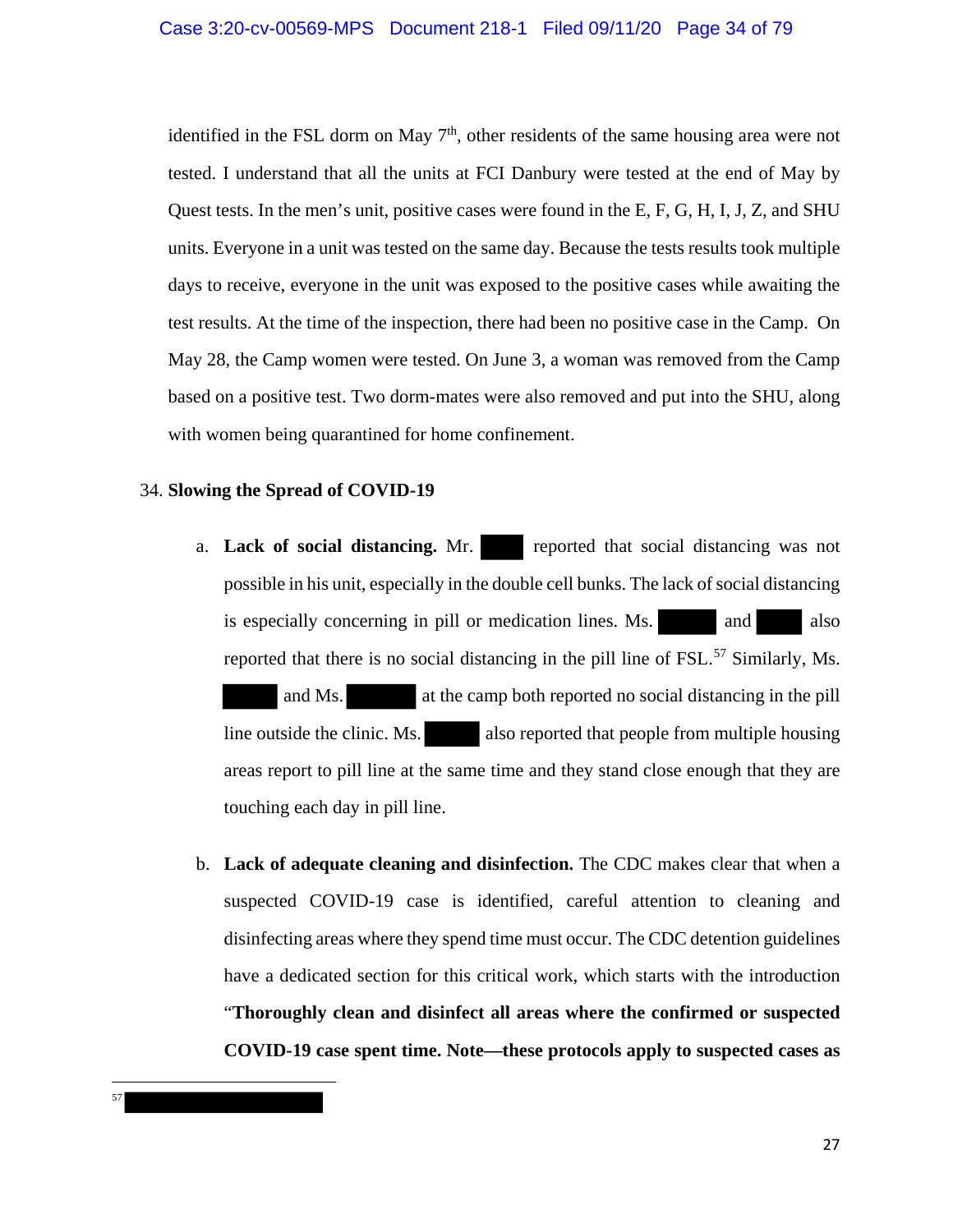identified in the FSL dorm on May  $7<sup>th</sup>$ , other residents of the same housing area were not tested. I understand that all the units at FCI Danbury were tested at the end of May by Quest tests. In the men's unit, positive cases were found in the E, F, G, H, I, J, Z, and SHU units. Everyone in a unit was tested on the same day. Because the tests results took multiple days to receive, everyone in the unit was exposed to the positive cases while awaiting the test results. At the time of the inspection, there had been no positive case in the Camp. On May 28, the Camp women were tested. On June 3, a woman was removed from the Camp based on a positive test. Two dorm-mates were also removed and put into the SHU, along with women being quarantined for home confinement.

## 34. **Slowing the Spread of COVID-19**

l 57

- a. Lack of social distancing. Mr. reported that social distancing was not possible in his unit, especially in the double cell bunks. The lack of social distancing is especially concerning in pill or medication lines. Ms. and also reported that there is no social distancing in the pill line of FSL.<sup>57</sup> Similarly, Ms. and Ms. at the camp both reported no social distancing in the pill line outside the clinic. Ms. also reported that people from multiple housing areas report to pill line at the same time and they stand close enough that they are touching each day in pill line.
- b. **Lack of adequate cleaning and disinfection.** The CDC makes clear that when a suspected COVID-19 case is identified, careful attention to cleaning and disinfecting areas where they spend time must occur. The CDC detention guidelines have a dedicated section for this critical work, which starts with the introduction "**Thoroughly clean and disinfect all areas where the confirmed or suspected COVID-19 case spent time. Note—these protocols apply to suspected cases as**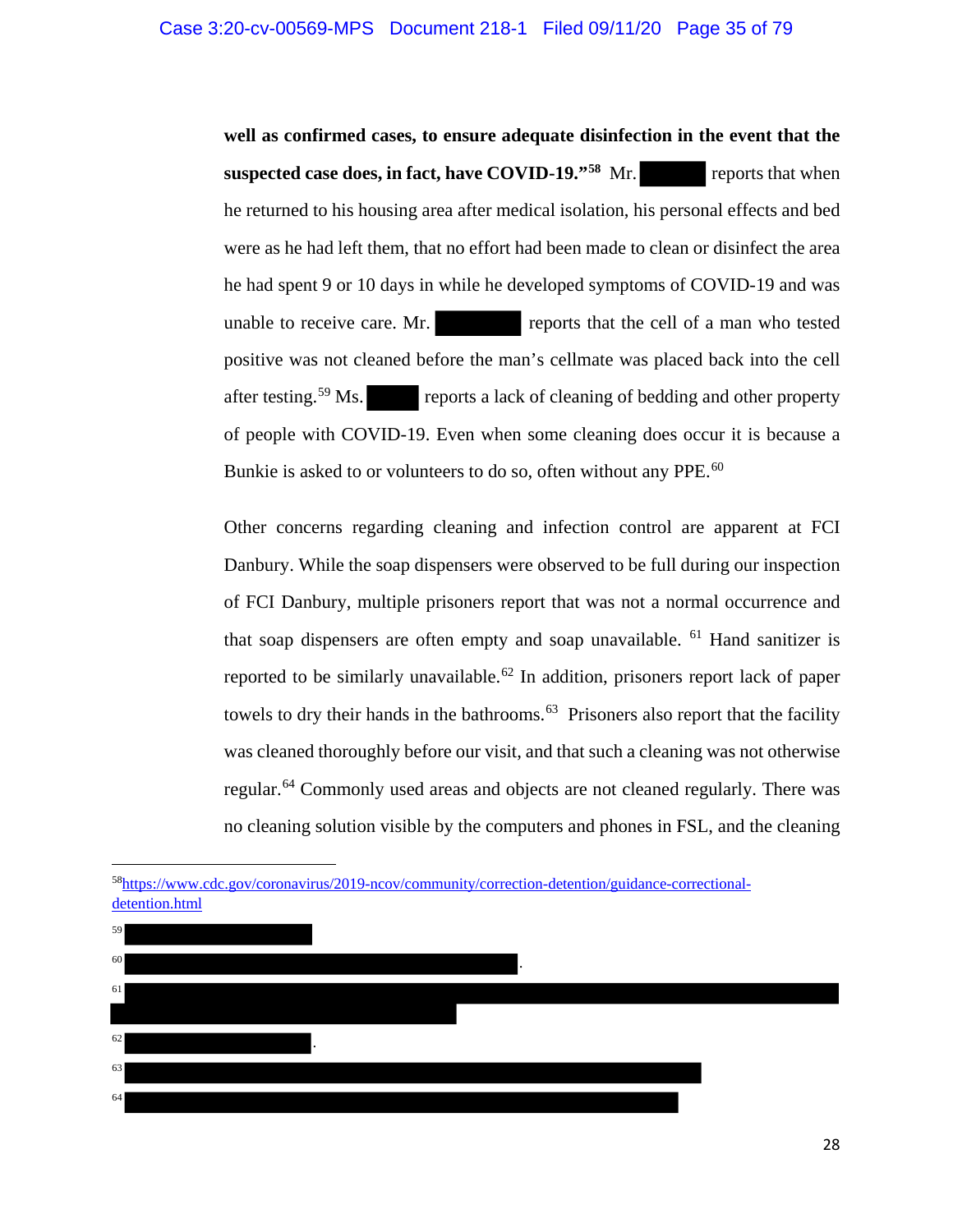**well as confirmed cases, to ensure adequate disinfection in the event that the suspected case does, in fact, have COVID-19.**"<sup>58</sup> Mr. reports that when he returned to his housing area after medical isolation, his personal effects and bed were as he had left them, that no effort had been made to clean or disinfect the area he had spent 9 or 10 days in while he developed symptoms of COVID-19 and was unable to receive care. Mr. reports that the cell of a man who tested positive was not cleaned before the man's cellmate was placed back into the cell after testing.<sup>59</sup> Ms. reports a lack of cleaning of bedding and other property of people with COVID-19. Even when some cleaning does occur it is because a Bunkie is asked to or volunteers to do so, often without any PPE.<sup>60</sup>

Other concerns regarding cleaning and infection control are apparent at FCI Danbury. While the soap dispensers were observed to be full during our inspection of FCI Danbury, multiple prisoners report that was not a normal occurrence and that soap dispensers are often empty and soap unavailable.  $61$  Hand sanitizer is reported to be similarly unavailable.<sup>62</sup> In addition, prisoners report lack of paper towels to dry their hands in the bathrooms.<sup>63</sup> Prisoners also report that the facility was cleaned thoroughly before our visit, and that such a cleaning was not otherwise regular.<sup>64</sup> Commonly used areas and objects are not cleaned regularly. There was no cleaning solution visible by the computers and phones in FSL, and the cleaning

 $\overline{a}$ 



<sup>58</sup>https://www.cdc.gov/coronavirus/2019-ncov/community/correction-detention/guidance-correctionaldetention.html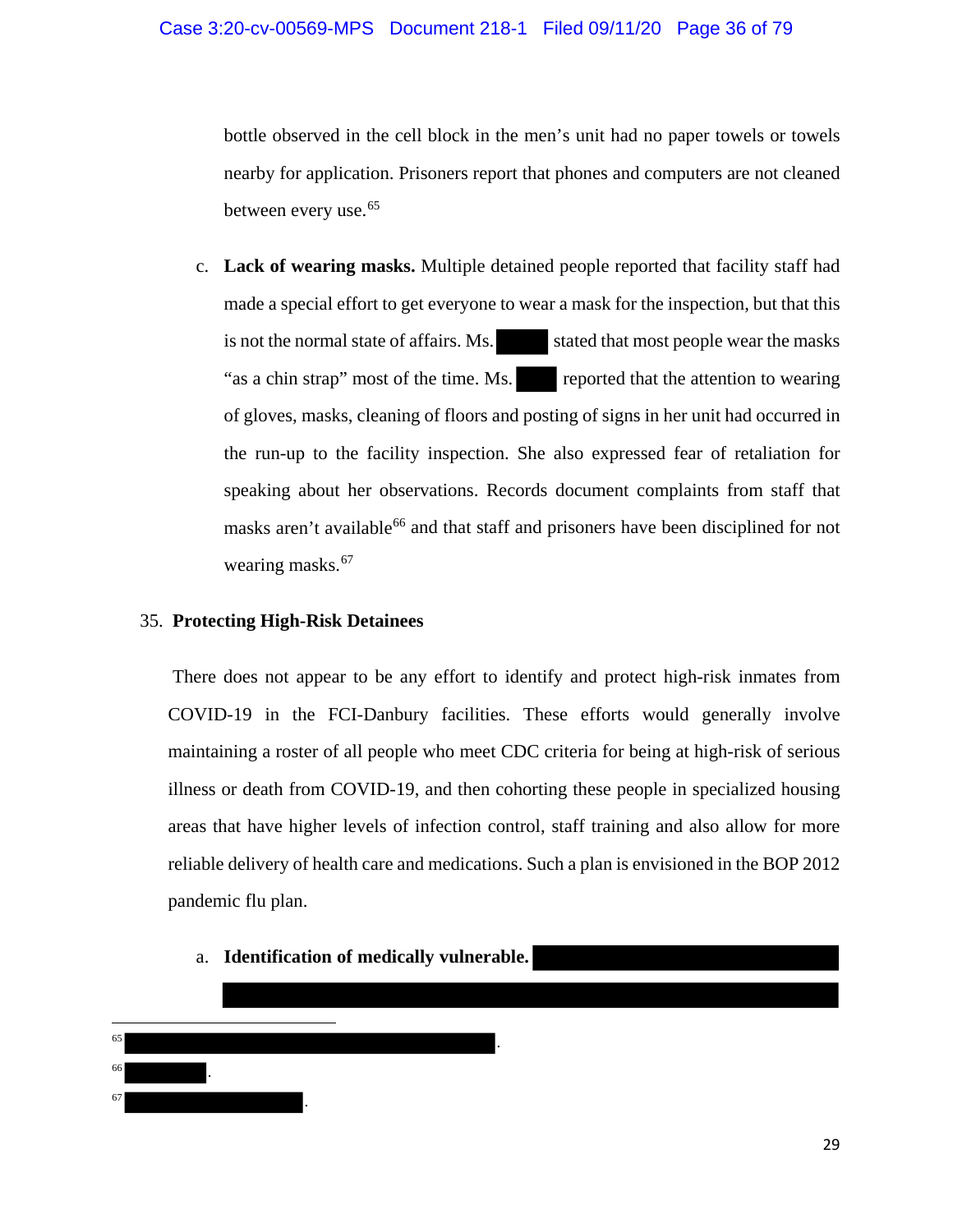bottle observed in the cell block in the men's unit had no paper towels or towels nearby for application. Prisoners report that phones and computers are not cleaned between every use.<sup>65</sup>

c. **Lack of wearing masks.** Multiple detained people reported that facility staff had made a special effort to get everyone to wear a mask for the inspection, but that this is not the normal state of affairs. Ms. stated that most people wear the masks "as a chin strap" most of the time. Ms. reported that the attention to wearing of gloves, masks, cleaning of floors and posting of signs in her unit had occurred in the run-up to the facility inspection. She also expressed fear of retaliation for speaking about her observations. Records document complaints from staff that masks aren't available<sup>66</sup> and that staff and prisoners have been disciplined for not wearing masks.<sup>67</sup>

## 35. **Protecting High-Risk Detainees**

There does not appear to be any effort to identify and protect high-risk inmates from COVID-19 in the FCI-Danbury facilities. These efforts would generally involve maintaining a roster of all people who meet CDC criteria for being at high-risk of serious illness or death from COVID-19, and then cohorting these people in specialized housing areas that have higher levels of infection control, staff training and also allow for more reliable delivery of health care and medications. Such a plan is envisioned in the BOP 2012 pandemic flu plan.

a. **Identification of medically vulnerable.** 

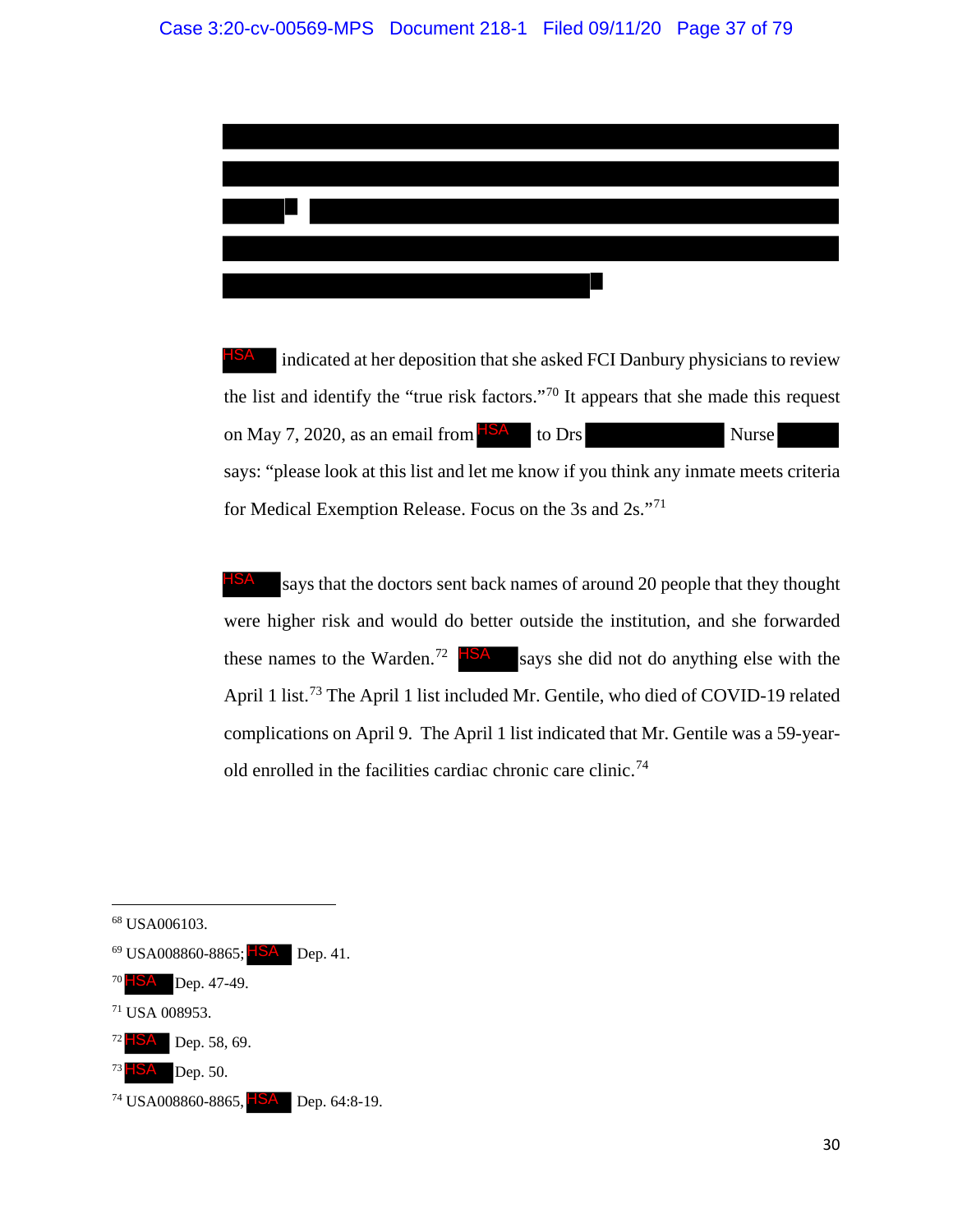

 indicated at her deposition that she asked FCI Danbury physicians to review the list and identify the "true risk factors."<sup>70</sup> It appears that she made this request on May 7, 2020, as an email from  $\frac{|\text{ISA}|}{|\text{S}\text{A}|}$  to Drs Nurse says: "please look at this list and let me know if you think any inmate meets criteria for Medical Exemption Release. Focus on the 3s and 2s."71 HSA

says that the doctors sent back names of around 20 people that they thought were higher risk and would do better outside the institution, and she forwarded these names to the Warden.<sup>72</sup>  $HSA$  says she did not do anything else with the April 1 list.<sup>73</sup> The April 1 list included Mr. Gentile, who died of COVID-19 related complications on April 9. The April 1 list indicated that Mr. Gentile was a 59-yearold enrolled in the facilities cardiac chronic care clinic.74 HSA

l

- $^{69}$  USA008860-8865;  $HSA$  Dep. 41. HSA<br>.<br>HSA
- $70$   $\blacksquare$   $\blacksquare$   $\blacksquare$   $\blacksquare$   $\blacksquare$   $\blacksquare$   $\blacksquare$   $\blacksquare$   $\blacksquare$   $\blacksquare$   $\blacksquare$   $\blacksquare$   $\blacksquare$   $\blacksquare$   $\blacksquare$   $\blacksquare$   $\blacksquare$   $\blacksquare$   $\blacksquare$   $\blacksquare$   $\blacksquare$   $\blacksquare$   $\blacksquare$   $\blacksquare$   $\blacksquare$   $\blacksquare$   $\blacksquare$   $\blacksquare$   $\blacksquare$   $\blacksquare$   $\blacksquare$
- <sup>71</sup> USA 008953.
- 72 **BSA** Dep. 58, 69.
- $73$   $\blacksquare$   $\blacksquare$   $\blacksquare$   $\blacksquare$   $\blacksquare$   $\blacksquare$   $\blacksquare$   $\blacksquare$   $\blacksquare$   $\blacksquare$   $\blacksquare$   $\blacksquare$   $\blacksquare$   $\blacksquare$   $\blacksquare$   $\blacksquare$   $\blacksquare$   $\blacksquare$   $\blacksquare$   $\blacksquare$   $\blacksquare$   $\blacksquare$   $\blacksquare$   $\blacksquare$   $\blacksquare$   $\blacksquare$   $\blacksquare$   $\blacksquare$   $\blacksquare$   $\blacksquare$   $\blacksquare$

<sup>68</sup> USA006103.

<sup>&</sup>lt;sup>74</sup> USA008860-8865, FSA Dep. 64:8-19.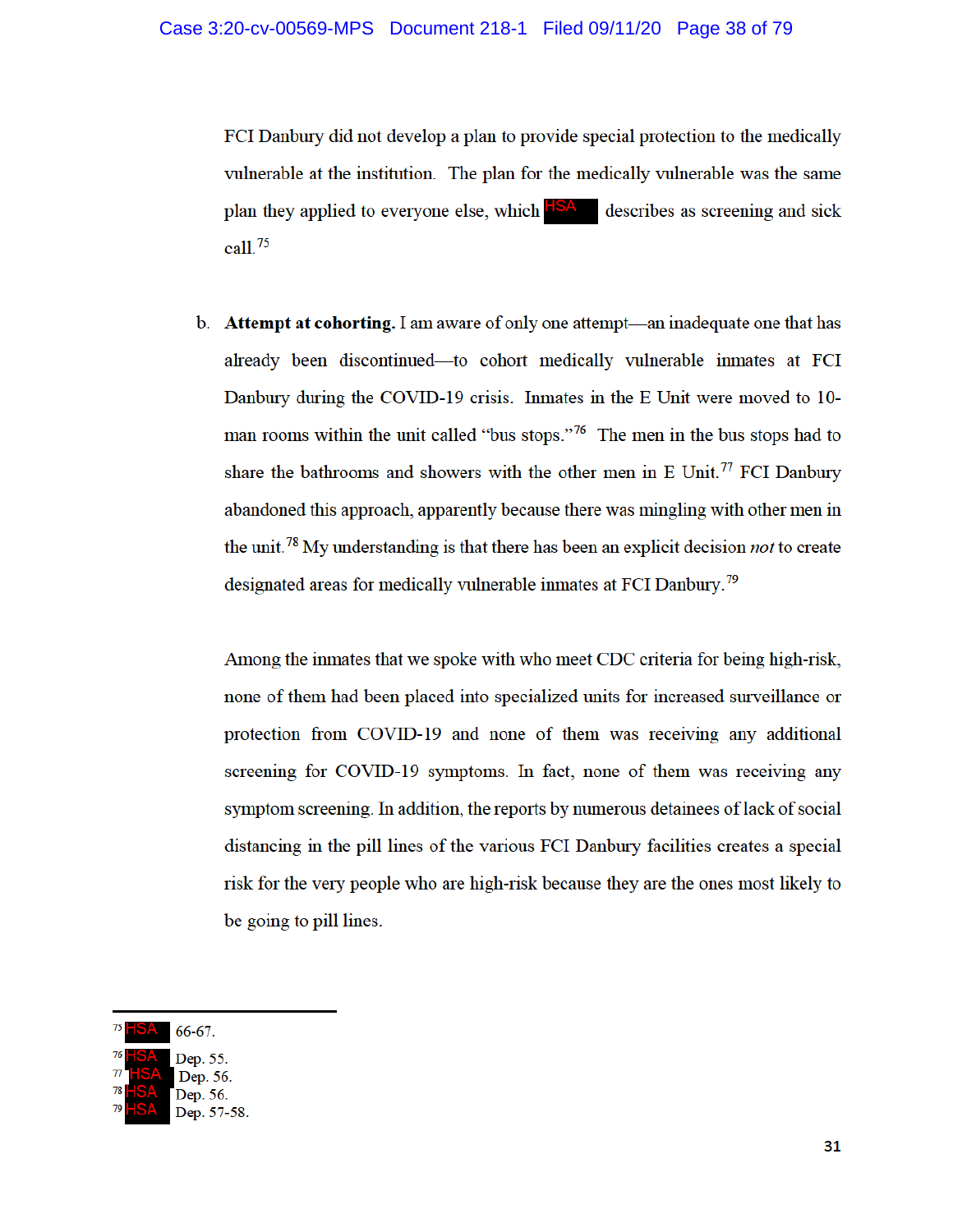FCI Danbury did not develop a plan to provide special protection to the medically vulnerable at the institution. The plan for the medically vulnerable was the same plan they applied to everyone else, which **HSA** describes as screening and sick call. $75$ 

b. Attempt at cohorting. I am aware of only one attempt—an inadequate one that has already been discontinued—to cohort medically vulnerable inmates at FCI Danbury during the COVID-19 crisis. Inmates in the E Unit were moved to 10man rooms within the unit called "bus stops."<sup>76</sup> The men in the bus stops had to share the bathrooms and showers with the other men in E Unit.<sup>77</sup> FCI Danbury abandoned this approach, apparently because there was mingling with other men in the unit.<sup>78</sup> My understanding is that there has been an explicit decision *not* to create designated areas for medically vulnerable inmates at FCI Danbury.<sup>79</sup>

Among the inmates that we spoke with who meet CDC criteria for being high-risk, none of them had been placed into specialized units for increased surveillance or protection from COVID-19 and none of them was receiving any additional screening for COVID-19 symptoms. In fact, none of them was receiving any symptom screening. In addition, the reports by numerous detainees of lack of social distancing in the pill lines of the various FCI Danbury facilities creates a special risk for the very people who are high-risk because they are the ones most likely to be going to pill lines.

 $66 - 67$ .

Dep. 55. Dep. 56.

Dep. 57-58.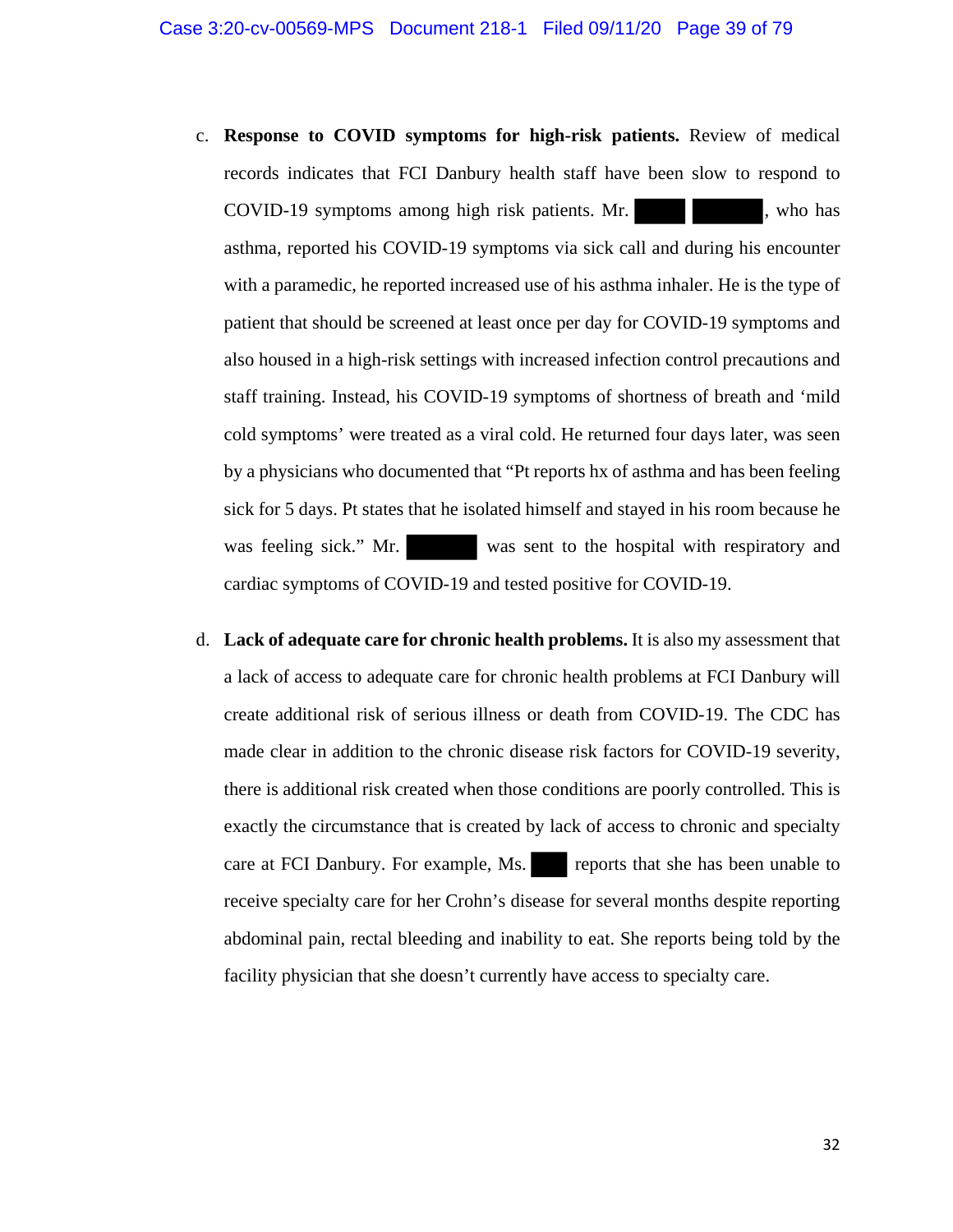- c. **Response to COVID symptoms for high-risk patients.** Review of medical records indicates that FCI Danbury health staff have been slow to respond to COVID-19 symptoms among high risk patients. Mr.  $\blacksquare$ , who has asthma, reported his COVID-19 symptoms via sick call and during his encounter with a paramedic, he reported increased use of his asthma inhaler. He is the type of patient that should be screened at least once per day for COVID-19 symptoms and also housed in a high-risk settings with increased infection control precautions and staff training. Instead, his COVID-19 symptoms of shortness of breath and 'mild cold symptoms' were treated as a viral cold. He returned four days later, was seen by a physicians who documented that "Pt reports hx of asthma and has been feeling sick for 5 days. Pt states that he isolated himself and stayed in his room because he was feeling sick." Mr. was sent to the hospital with respiratory and cardiac symptoms of COVID-19 and tested positive for COVID-19.
- d. **Lack of adequate care for chronic health problems.** It is also my assessment that a lack of access to adequate care for chronic health problems at FCI Danbury will create additional risk of serious illness or death from COVID-19. The CDC has made clear in addition to the chronic disease risk factors for COVID-19 severity, there is additional risk created when those conditions are poorly controlled. This is exactly the circumstance that is created by lack of access to chronic and specialty care at FCI Danbury. For example, Ms. reports that she has been unable to receive specialty care for her Crohn's disease for several months despite reporting abdominal pain, rectal bleeding and inability to eat. She reports being told by the facility physician that she doesn't currently have access to specialty care.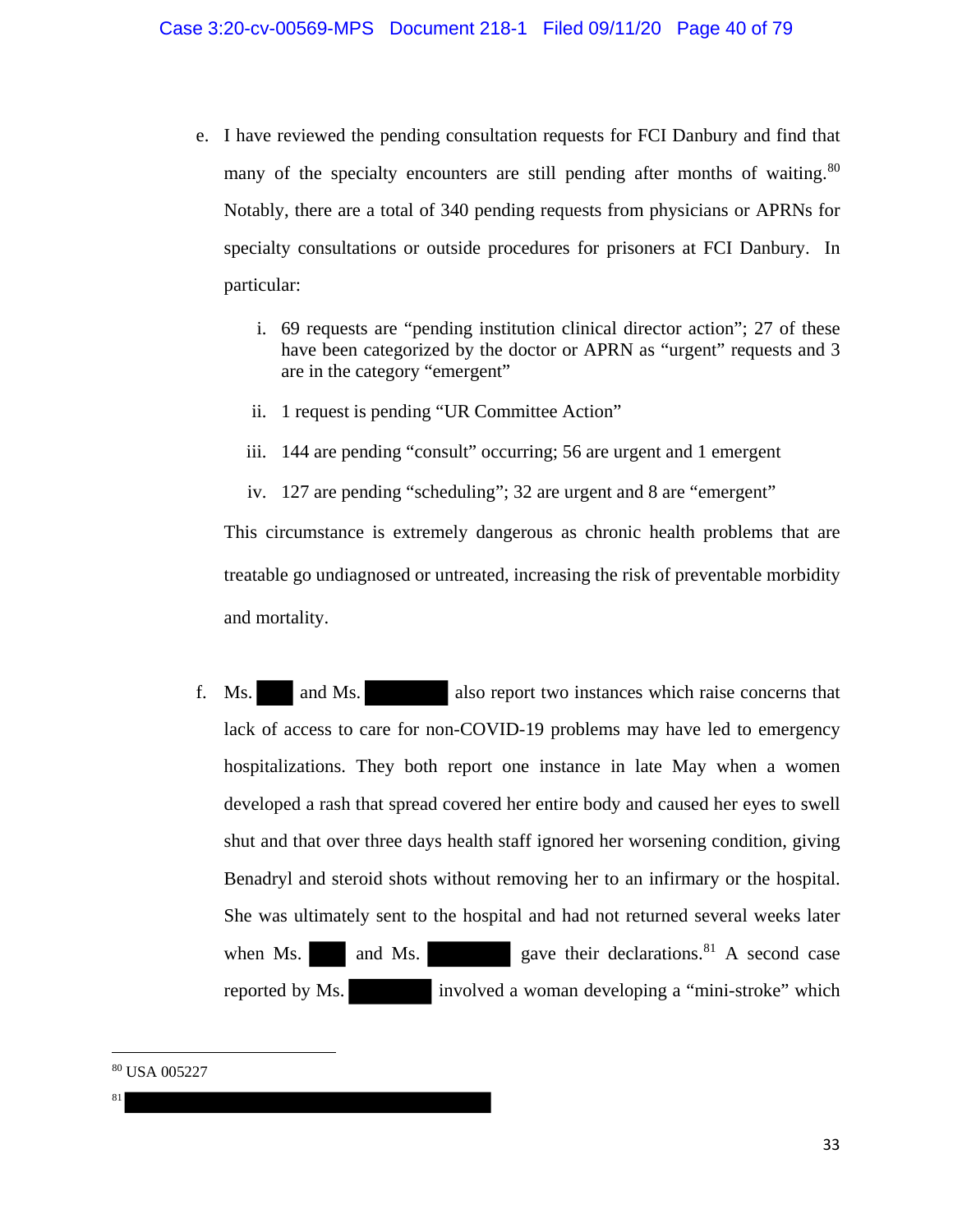- e. I have reviewed the pending consultation requests for FCI Danbury and find that many of the specialty encounters are still pending after months of waiting.<sup>80</sup> Notably, there are a total of 340 pending requests from physicians or APRNs for specialty consultations or outside procedures for prisoners at FCI Danbury. In particular:
	- i. 69 requests are "pending institution clinical director action"; 27 of these have been categorized by the doctor or APRN as "urgent" requests and 3 are in the category "emergent"
	- ii. 1 request is pending "UR Committee Action"
	- iii. 144 are pending "consult" occurring; 56 are urgent and 1 emergent
	- iv. 127 are pending "scheduling"; 32 are urgent and 8 are "emergent"

This circumstance is extremely dangerous as chronic health problems that are treatable go undiagnosed or untreated, increasing the risk of preventable morbidity and mortality.

f. Ms. and Ms. also report two instances which raise concerns that lack of access to care for non-COVID-19 problems may have led to emergency hospitalizations. They both report one instance in late May when a women developed a rash that spread covered her entire body and caused her eyes to swell shut and that over three days health staff ignored her worsening condition, giving Benadryl and steroid shots without removing her to an infirmary or the hospital. She was ultimately sent to the hospital and had not returned several weeks later when Ms.  $\qquad$  and Ms.  $\qquad$  gave their declarations.<sup>81</sup> A second case reported by Ms. involved a woman developing a "mini-stroke" which

<sup>80</sup> USA 005227

81

 $\overline{\phantom{a}}$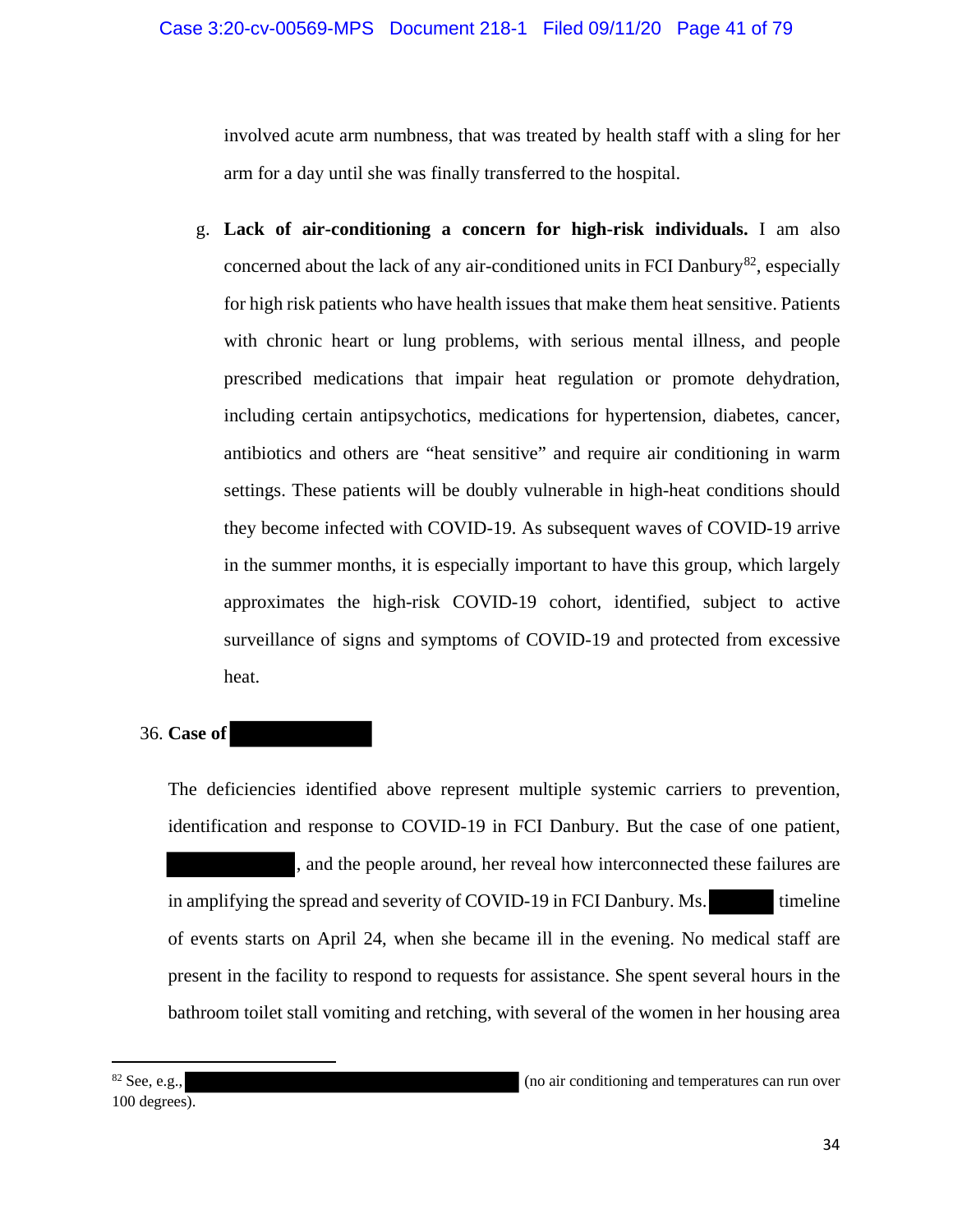involved acute arm numbness, that was treated by health staff with a sling for her arm for a day until she was finally transferred to the hospital.

g. **Lack of air-conditioning a concern for high-risk individuals.** I am also concerned about the lack of any air-conditioned units in FCI Danbury<sup>82</sup>, especially for high risk patients who have health issues that make them heat sensitive. Patients with chronic heart or lung problems, with serious mental illness, and people prescribed medications that impair heat regulation or promote dehydration, including certain antipsychotics, medications for hypertension, diabetes, cancer, antibiotics and others are "heat sensitive" and require air conditioning in warm settings. These patients will be doubly vulnerable in high-heat conditions should they become infected with COVID-19. As subsequent waves of COVID-19 arrive in the summer months, it is especially important to have this group, which largely approximates the high-risk COVID-19 cohort, identified, subject to active surveillance of signs and symptoms of COVID-19 and protected from excessive heat.

## 36. **Case of**

The deficiencies identified above represent multiple systemic carriers to prevention, identification and response to COVID-19 in FCI Danbury. But the case of one patient, , and the people around, her reveal how interconnected these failures are in amplifying the spread and severity of COVID-19 in FCI Danbury. Ms. timeline of events starts on April 24, when she became ill in the evening. No medical staff are present in the facility to respond to requests for assistance. She spent several hours in the bathroom toilet stall vomiting and retching, with several of the women in her housing area

100 degrees).

 $\overline{\phantom{a}}$ 

<sup>82</sup> See, e.g., (no air conditioning and temperatures can run over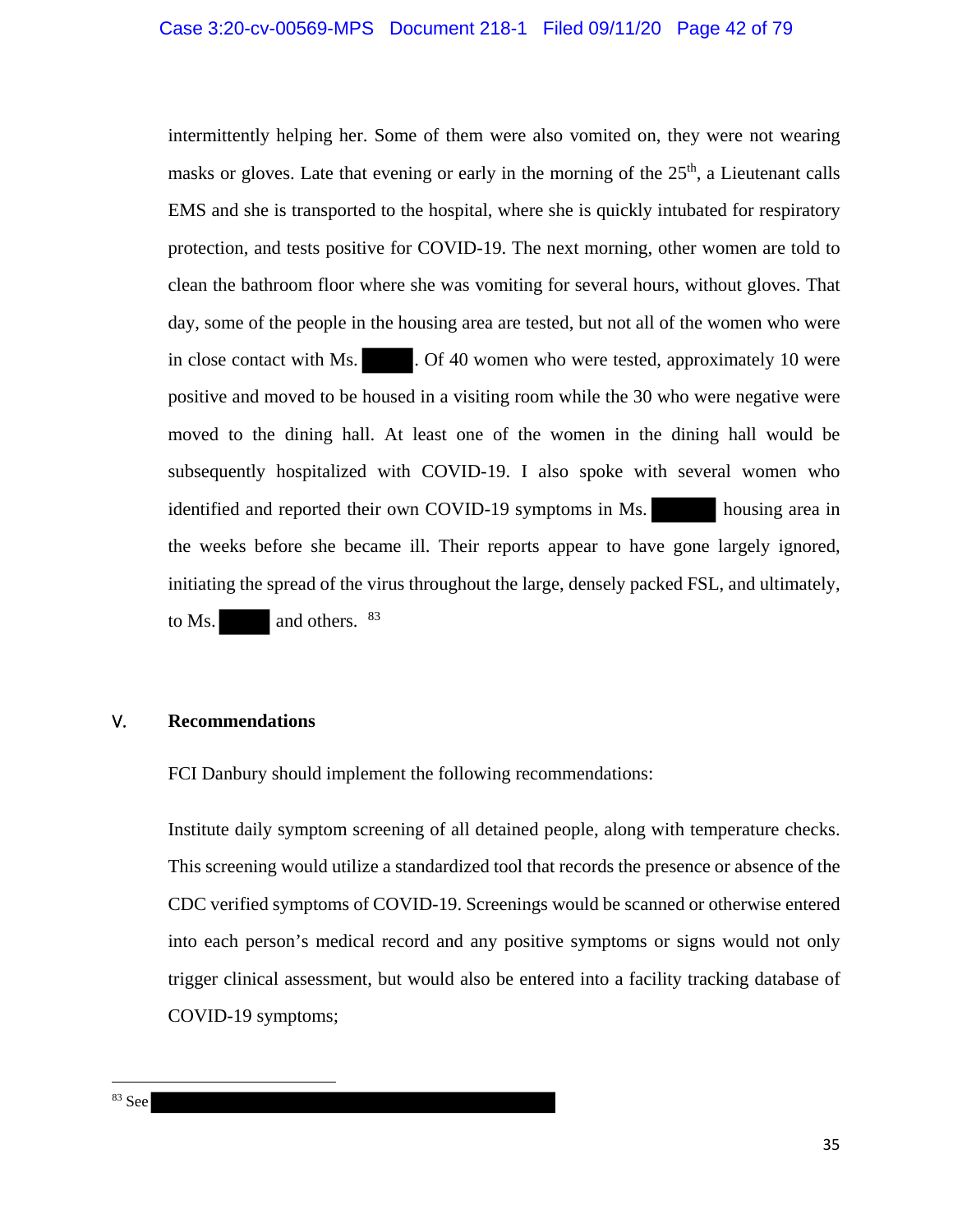intermittently helping her. Some of them were also vomited on, they were not wearing masks or gloves. Late that evening or early in the morning of the  $25<sup>th</sup>$ , a Lieutenant calls EMS and she is transported to the hospital, where she is quickly intubated for respiratory protection, and tests positive for COVID-19. The next morning, other women are told to clean the bathroom floor where she was vomiting for several hours, without gloves. That day, some of the people in the housing area are tested, but not all of the women who were in close contact with Ms.  $\qquad \qquad$  . Of 40 women who were tested, approximately 10 were positive and moved to be housed in a visiting room while the 30 who were negative were moved to the dining hall. At least one of the women in the dining hall would be subsequently hospitalized with COVID-19. I also spoke with several women who identified and reported their own COVID-19 symptoms in Ms. housing area in the weeks before she became ill. Their reports appear to have gone largely ignored, initiating the spread of the virus throughout the large, densely packed FSL, and ultimately, to Ms.  $\qquad$  and others.  $83$ 

## V. **Recommendations**

FCI Danbury should implement the following recommendations:

Institute daily symptom screening of all detained people, along with temperature checks. This screening would utilize a standardized tool that records the presence or absence of the CDC verified symptoms of COVID-19. Screenings would be scanned or otherwise entered into each person's medical record and any positive symptoms or signs would not only trigger clinical assessment, but would also be entered into a facility tracking database of COVID-19 symptoms;

l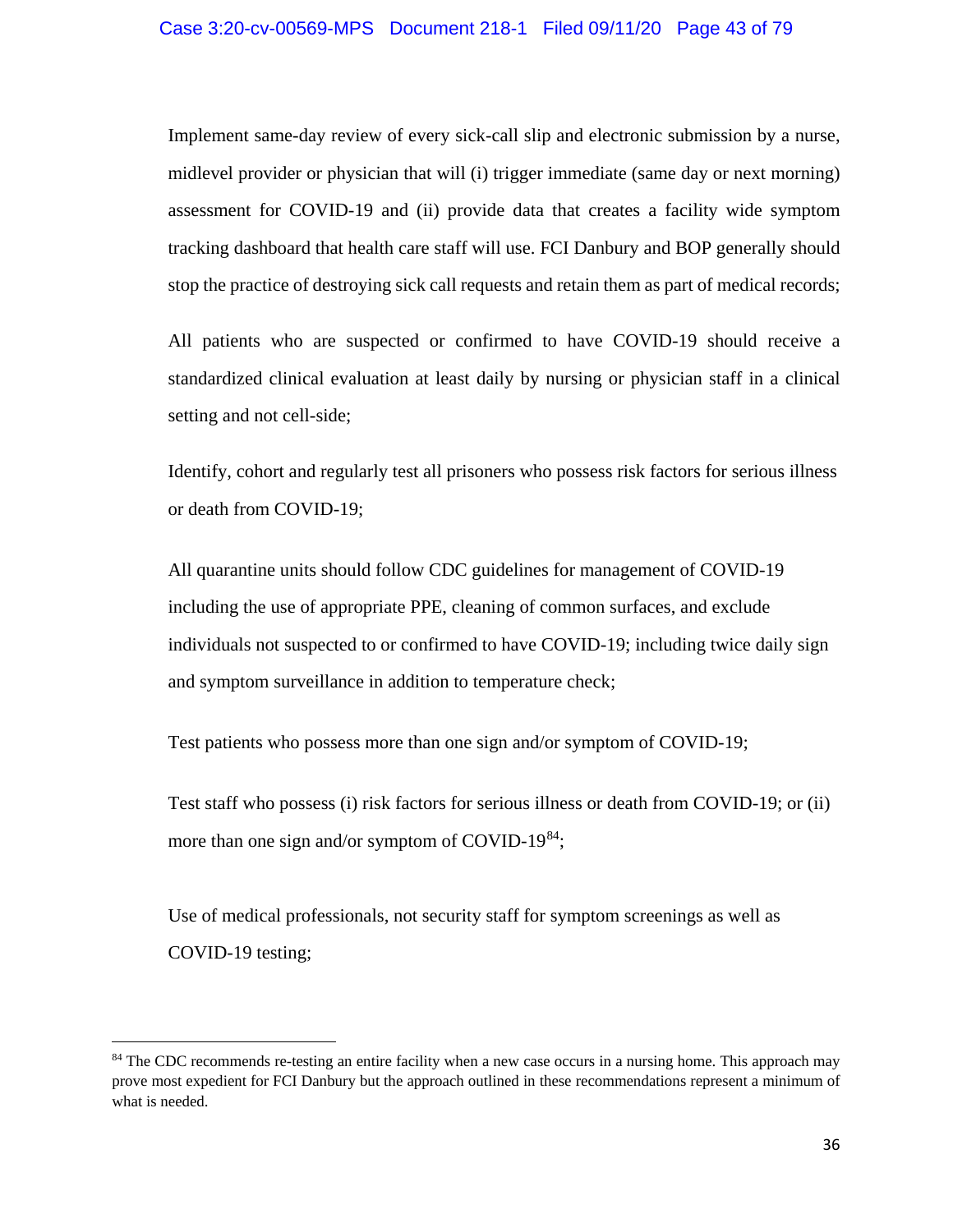Implement same-day review of every sick-call slip and electronic submission by a nurse, midlevel provider or physician that will (i) trigger immediate (same day or next morning) assessment for COVID-19 and (ii) provide data that creates a facility wide symptom tracking dashboard that health care staff will use. FCI Danbury and BOP generally should stop the practice of destroying sick call requests and retain them as part of medical records;

All patients who are suspected or confirmed to have COVID-19 should receive a standardized clinical evaluation at least daily by nursing or physician staff in a clinical setting and not cell-side;

Identify, cohort and regularly test all prisoners who possess risk factors for serious illness or death from COVID-19;

All quarantine units should follow CDC guidelines for management of COVID-19 including the use of appropriate PPE, cleaning of common surfaces, and exclude individuals not suspected to or confirmed to have COVID-19; including twice daily sign and symptom surveillance in addition to temperature check;

Test patients who possess more than one sign and/or symptom of COVID-19;

Test staff who possess (i) risk factors for serious illness or death from COVID-19; or (ii) more than one sign and/or symptom of COVID-19<sup>84</sup>;

Use of medical professionals, not security staff for symptom screenings as well as COVID-19 testing;

 $\overline{a}$ 

<sup>&</sup>lt;sup>84</sup> The CDC recommends re-testing an entire facility when a new case occurs in a nursing home. This approach may prove most expedient for FCI Danbury but the approach outlined in these recommendations represent a minimum of what is needed.